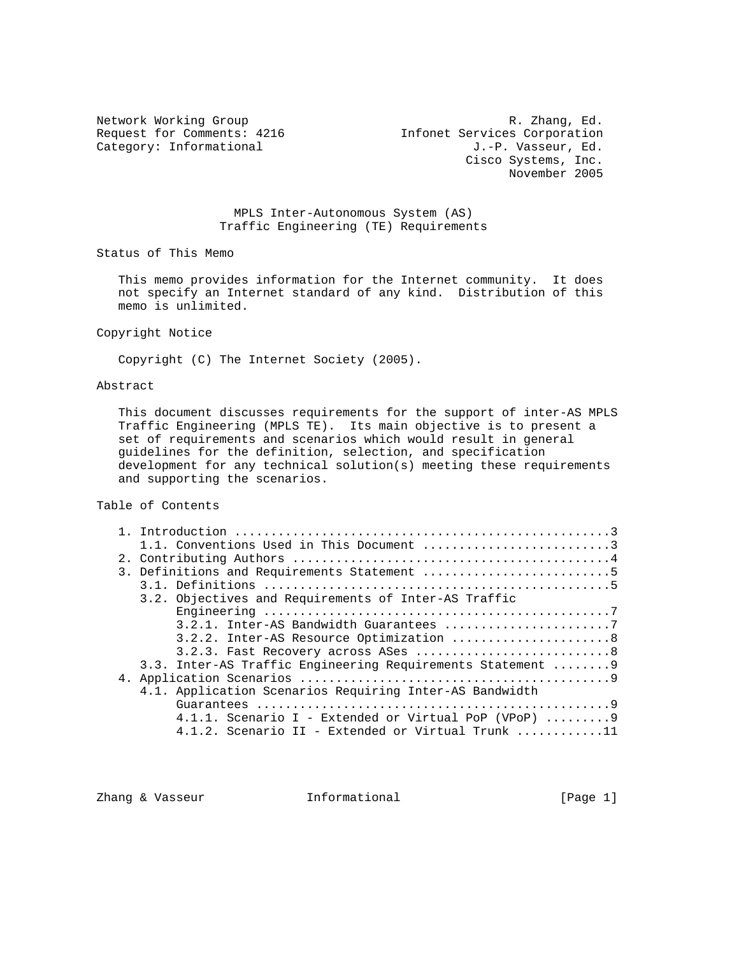Category: Informational

Network Working Group **R. Zhang, Ed. R. Zhang, Ed.** Request for Comments: 4216 Infonet Services Corporation<br>Category: Informational d.-P. Vasseur, Ed. Cisco Systems, Inc. November 2005

> MPLS Inter-Autonomous System (AS) Traffic Engineering (TE) Requirements

Status of This Memo

 This memo provides information for the Internet community. It does not specify an Internet standard of any kind. Distribution of this memo is unlimited.

Copyright Notice

Copyright (C) The Internet Society (2005).

# Abstract

 This document discusses requirements for the support of inter-AS MPLS Traffic Engineering (MPLS TE). Its main objective is to present a set of requirements and scenarios which would result in general guidelines for the definition, selection, and specification development for any technical solution(s) meeting these requirements and supporting the scenarios.

Table of Contents

|  | 1.1. Conventions Used in This Document 3                                    |
|--|-----------------------------------------------------------------------------|
|  |                                                                             |
|  | 3. Definitions and Requirements Statement 5                                 |
|  |                                                                             |
|  | 3.2. Objectives and Requirements of Inter-AS Traffic                        |
|  |                                                                             |
|  |                                                                             |
|  | 3.2.2. Inter-AS Resource Optimization 8                                     |
|  | 3.2.3. Fast Recovery across ASes 8                                          |
|  | 3.3. Inter-AS Traffic Engineering Requirements Statement  9                 |
|  |                                                                             |
|  | 4.1. Application Scenarios Requiring Inter-AS Bandwidth                     |
|  |                                                                             |
|  | 4.1.1. Scenario I - Extended or Virtual PoP (VPoP) $\ldots \ldots \ldots$ 9 |
|  | 4.1.2. Scenario II - Extended or Virtual Trunk 11                           |

Zhang & Vasseur **Informational Informational** [Page 1]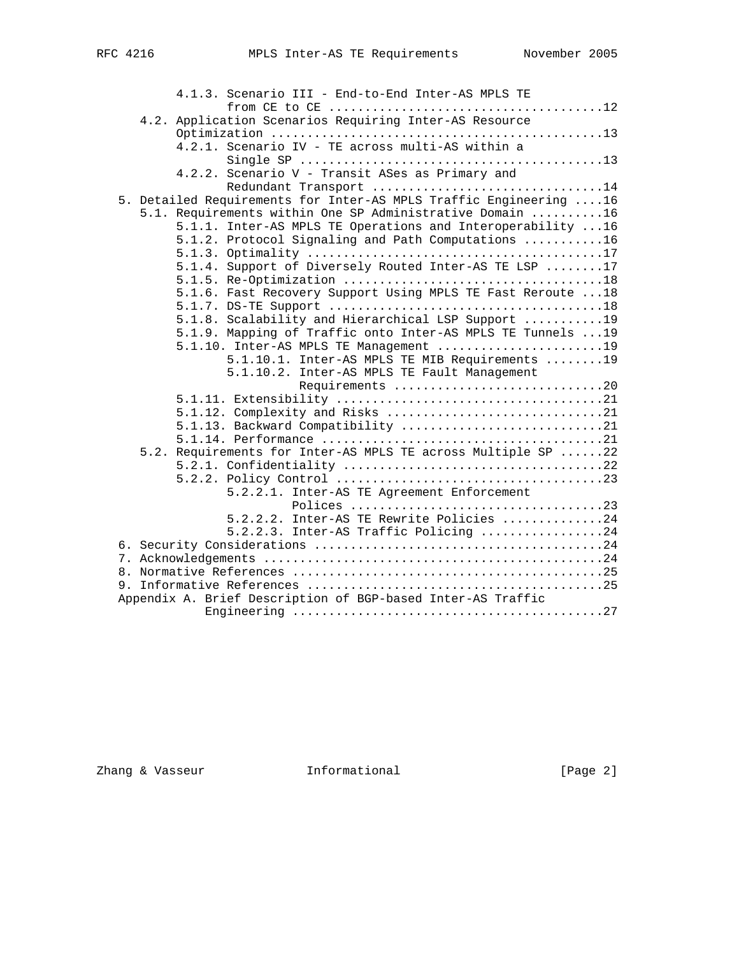|  | 4.1.3. Scenario III - End-to-End Inter-AS MPLS TE                 |
|--|-------------------------------------------------------------------|
|  |                                                                   |
|  | 4.2. Application Scenarios Requiring Inter-AS Resource            |
|  |                                                                   |
|  | 4.2.1. Scenario IV - TE across multi-AS within a                  |
|  |                                                                   |
|  | 4.2.2. Scenario V - Transit ASes as Primary and                   |
|  | Redundant Transport 14                                            |
|  | 5. Detailed Requirements for Inter-AS MPLS Traffic Engineering 16 |
|  | 5.1. Requirements within One SP Administrative Domain 16          |
|  | 5.1.1. Inter-AS MPLS TE Operations and Interoperability  16       |
|  | 5.1.2. Protocol Signaling and Path Computations 16                |
|  |                                                                   |
|  | 5.1.4. Support of Diversely Routed Inter-AS TE LSP 17             |
|  |                                                                   |
|  | 5.1.6. Fast Recovery Support Using MPLS TE Fast Reroute  18       |
|  |                                                                   |
|  | 5.1.8. Scalability and Hierarchical LSP Support 19                |
|  | 5.1.9. Mapping of Traffic onto Inter-AS MPLS TE Tunnels  19       |
|  | 5.1.10. Inter-AS MPLS TE Management 19                            |
|  | 5.1.10.1. Inter-AS MPLS TE MIB Requirements 19                    |
|  | 5.1.10.2. Inter-AS MPLS TE Fault Management                       |
|  | Requirements 20                                                   |
|  |                                                                   |
|  |                                                                   |
|  | 5.1.13. Backward Compatibility 21                                 |
|  |                                                                   |
|  | 5.2. Requirements for Inter-AS MPLS TE across Multiple SP 22      |
|  |                                                                   |
|  |                                                                   |
|  | 5.2.2.1. Inter-AS TE Agreement Enforcement                        |
|  |                                                                   |
|  | 5.2.2.2. Inter-AS TE Rewrite Policies 24                          |
|  | 5.2.2.3. Inter-AS Traffic Policing 24                             |
|  |                                                                   |
|  |                                                                   |
|  |                                                                   |
|  |                                                                   |
|  | Appendix A. Brief Description of BGP-based Inter-AS Traffic       |
|  |                                                                   |
|  |                                                                   |

zhang & Vasseur **Informational** (Page 2)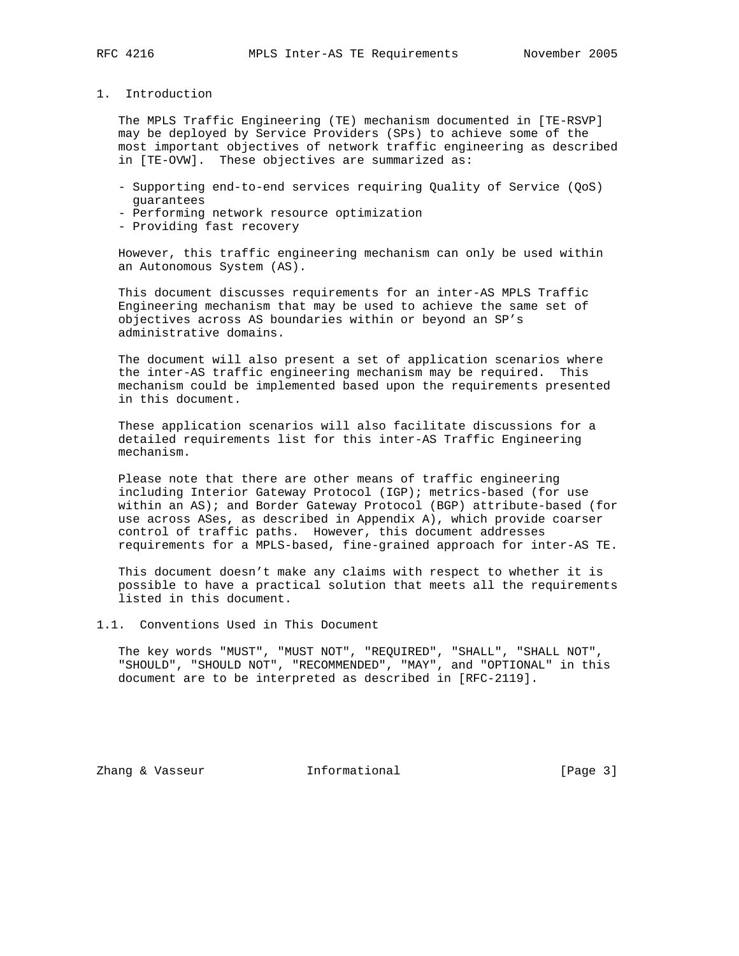1. Introduction

 The MPLS Traffic Engineering (TE) mechanism documented in [TE-RSVP] may be deployed by Service Providers (SPs) to achieve some of the most important objectives of network traffic engineering as described in [TE-OVW]. These objectives are summarized as:

- Supporting end-to-end services requiring Quality of Service (QoS) guarantees
- Performing network resource optimization
- Providing fast recovery

 However, this traffic engineering mechanism can only be used within an Autonomous System (AS).

 This document discusses requirements for an inter-AS MPLS Traffic Engineering mechanism that may be used to achieve the same set of objectives across AS boundaries within or beyond an SP's administrative domains.

 The document will also present a set of application scenarios where the inter-AS traffic engineering mechanism may be required. This mechanism could be implemented based upon the requirements presented in this document.

 These application scenarios will also facilitate discussions for a detailed requirements list for this inter-AS Traffic Engineering mechanism.

 Please note that there are other means of traffic engineering including Interior Gateway Protocol (IGP); metrics-based (for use within an AS); and Border Gateway Protocol (BGP) attribute-based (for use across ASes, as described in Appendix A), which provide coarser control of traffic paths. However, this document addresses requirements for a MPLS-based, fine-grained approach for inter-AS TE.

 This document doesn't make any claims with respect to whether it is possible to have a practical solution that meets all the requirements listed in this document.

1.1. Conventions Used in This Document

 The key words "MUST", "MUST NOT", "REQUIRED", "SHALL", "SHALL NOT", "SHOULD", "SHOULD NOT", "RECOMMENDED", "MAY", and "OPTIONAL" in this document are to be interpreted as described in [RFC-2119].

Zhang & Vasseur **Informational** [Page 3]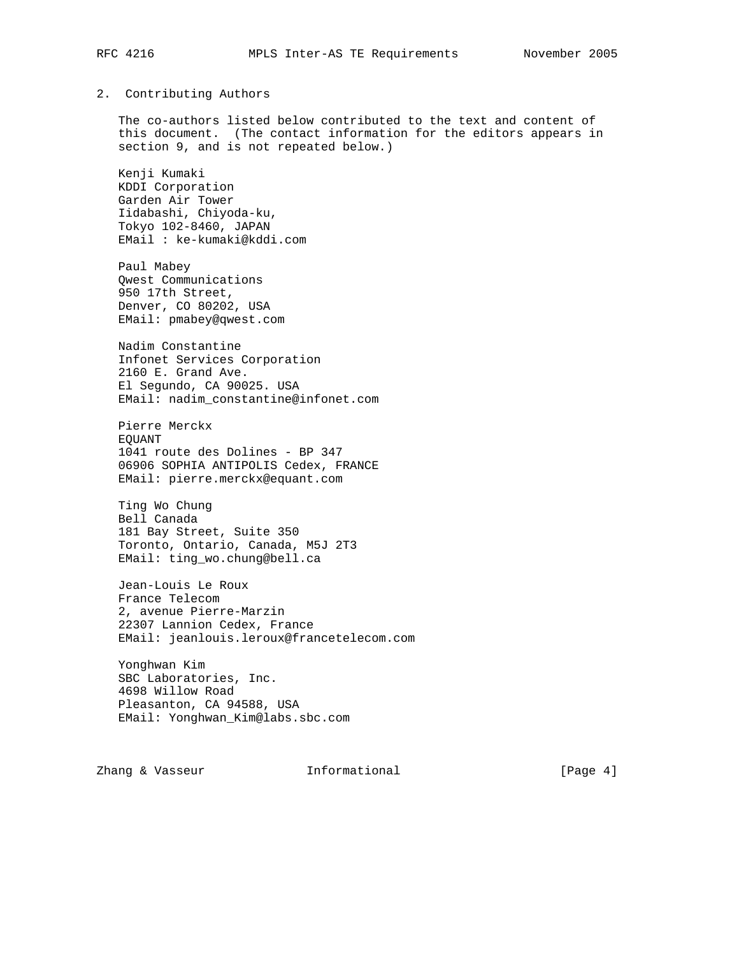### 2. Contributing Authors

 The co-authors listed below contributed to the text and content of this document. (The contact information for the editors appears in section 9, and is not repeated below.)

 Kenji Kumaki KDDI Corporation Garden Air Tower Iidabashi, Chiyoda-ku, Tokyo 102-8460, JAPAN EMail : ke-kumaki@kddi.com

 Paul Mabey Qwest Communications 950 17th Street, Denver, CO 80202, USA EMail: pmabey@qwest.com

 Nadim Constantine Infonet Services Corporation 2160 E. Grand Ave. El Segundo, CA 90025. USA EMail: nadim\_constantine@infonet.com

 Pierre Merckx EQUANT 1041 route des Dolines - BP 347 06906 SOPHIA ANTIPOLIS Cedex, FRANCE EMail: pierre.merckx@equant.com

 Ting Wo Chung Bell Canada 181 Bay Street, Suite 350 Toronto, Ontario, Canada, M5J 2T3 EMail: ting\_wo.chung@bell.ca

 Jean-Louis Le Roux France Telecom 2, avenue Pierre-Marzin 22307 Lannion Cedex, France EMail: jeanlouis.leroux@francetelecom.com

 Yonghwan Kim SBC Laboratories, Inc. 4698 Willow Road Pleasanton, CA 94588, USA EMail: Yonghwan\_Kim@labs.sbc.com

Zhang & Vasseur **Informational** (Page 4)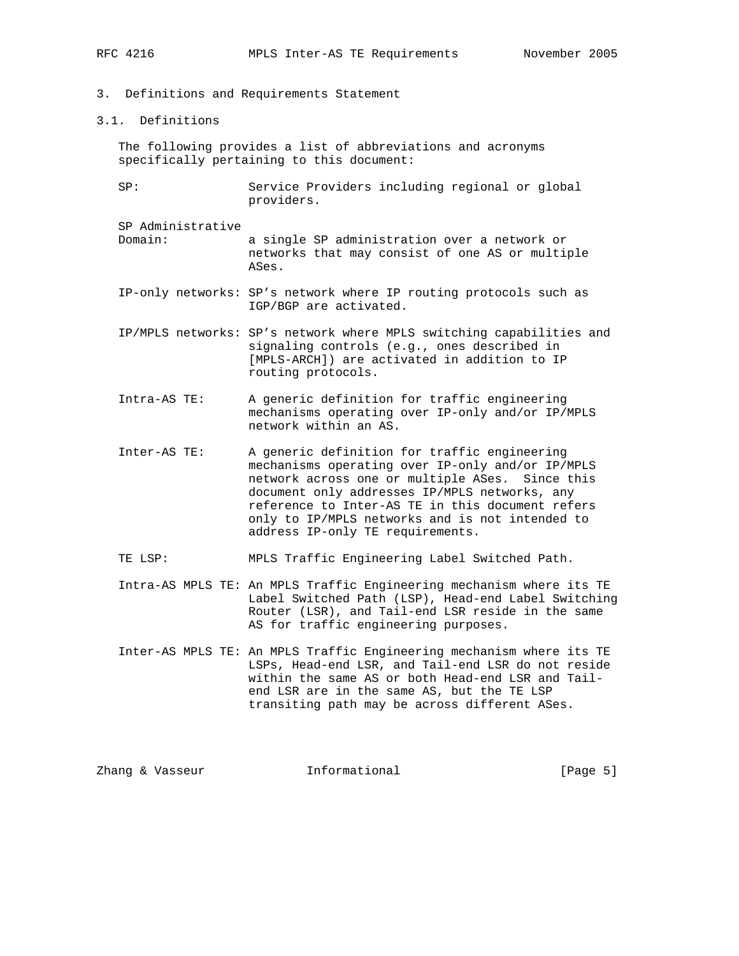- 3. Definitions and Requirements Statement
- 3.1. Definitions

 The following provides a list of abbreviations and acronyms specifically pertaining to this document:

- SP: Service Providers including regional or global providers.
- SP Administrative Domain: a single SP administration over a network or networks that may consist of one AS or multiple ASes.
- IP-only networks: SP's network where IP routing protocols such as IGP/BGP are activated.
- IP/MPLS networks: SP's network where MPLS switching capabilities and signaling controls (e.g., ones described in [MPLS-ARCH]) are activated in addition to IP routing protocols.
- Intra-AS TE: A generic definition for traffic engineering mechanisms operating over IP-only and/or IP/MPLS network within an AS.
- Inter-AS TE: A generic definition for traffic engineering mechanisms operating over IP-only and/or IP/MPLS network across one or multiple ASes. Since this document only addresses IP/MPLS networks, any reference to Inter-AS TE in this document refers only to IP/MPLS networks and is not intended to address IP-only TE requirements.
- TE LSP: MPLS Traffic Engineering Label Switched Path.
- Intra-AS MPLS TE: An MPLS Traffic Engineering mechanism where its TE Label Switched Path (LSP), Head-end Label Switching Router (LSR), and Tail-end LSR reside in the same AS for traffic engineering purposes.
- Inter-AS MPLS TE: An MPLS Traffic Engineering mechanism where its TE LSPs, Head-end LSR, and Tail-end LSR do not reside within the same AS or both Head-end LSR and Tail end LSR are in the same AS, but the TE LSP transiting path may be across different ASes.

Zhang & Vasseur **Informational** [Page 5]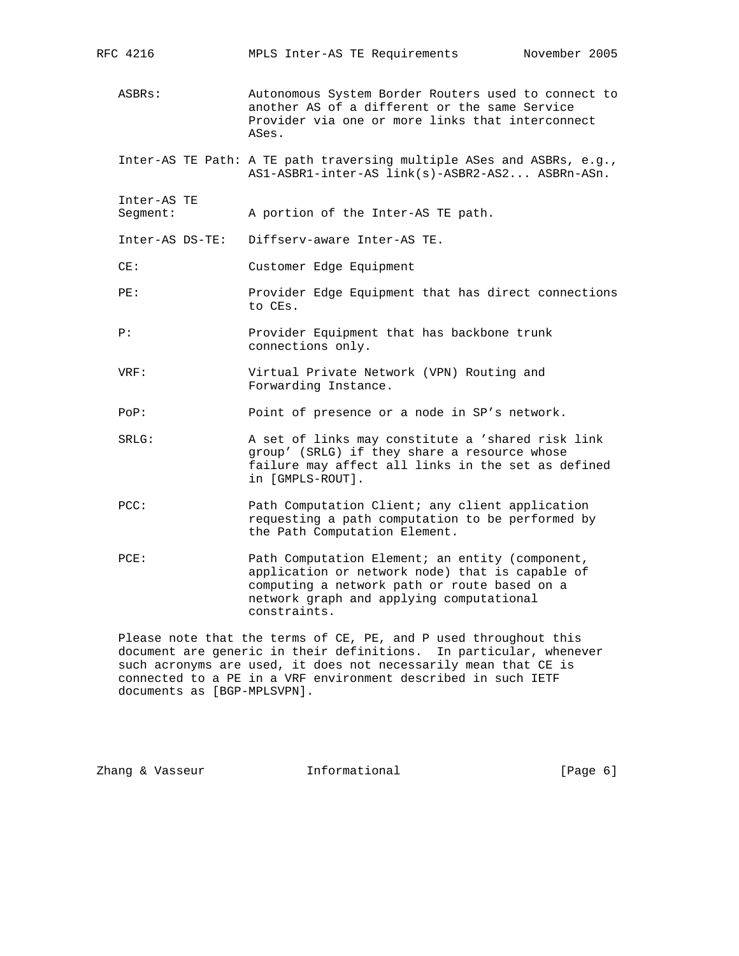| RFC 4216                | MPLS Inter-AS TE Requirements                                                                                                                                                                                  | November 2005 |
|-------------------------|----------------------------------------------------------------------------------------------------------------------------------------------------------------------------------------------------------------|---------------|
| ASBRs:                  | Autonomous System Border Routers used to connect to<br>another AS of a different or the same Service<br>Provider via one or more links that interconnect<br>ASes.                                              |               |
|                         | Inter-AS TE Path: A TE path traversing multiple ASes and ASBRs, e.g.,<br>AS1-ASBR1-inter-AS link(s)-ASBR2-AS2 ASBRn-ASn.                                                                                       |               |
| Inter-AS TE<br>Seqment: | A portion of the Inter-AS TE path.                                                                                                                                                                             |               |
| Inter-AS DS-TE:         | Diffserv-aware Inter-AS TE.                                                                                                                                                                                    |               |
| CE:                     | Customer Edge Equipment                                                                                                                                                                                        |               |
| PE:                     | Provider Edge Equipment that has direct connections<br>to CEs.                                                                                                                                                 |               |
| P:                      | Provider Equipment that has backbone trunk<br>connections only.                                                                                                                                                |               |
| VRF:                    | Virtual Private Network (VPN) Routing and<br>Forwarding Instance.                                                                                                                                              |               |
| POP:                    | Point of presence or a node in SP's network.                                                                                                                                                                   |               |
| SRLG:                   | A set of links may constitute a 'shared risk link<br>group' (SRLG) if they share a resource whose<br>failure may affect all links in the set as defined<br>in [GMPLS-ROUT].                                    |               |
| PCC:                    | Path Computation Client; any client application<br>requesting a path computation to be performed by<br>the Path Computation Element.                                                                           |               |
| PCE:                    | Path Computation Element; an entity (component,<br>application or network node) that is capable of<br>computing a network path or route based on a<br>network graph and applying computational<br>constraints. |               |
|                         | $D_{0.200}$ note that the terms of $C_{\rm F}$ $D_{\rm F}$ and $D_{1100}$ throughout this                                                                                                                      |               |

 Please note that the terms of CE, PE, and P used throughout this document are generic in their definitions. In particular, whenever such acronyms are used, it does not necessarily mean that CE is connected to a PE in a VRF environment described in such IETF documents as [BGP-MPLSVPN].

Zhang & Vasseur **Informational Informational** [Page 6]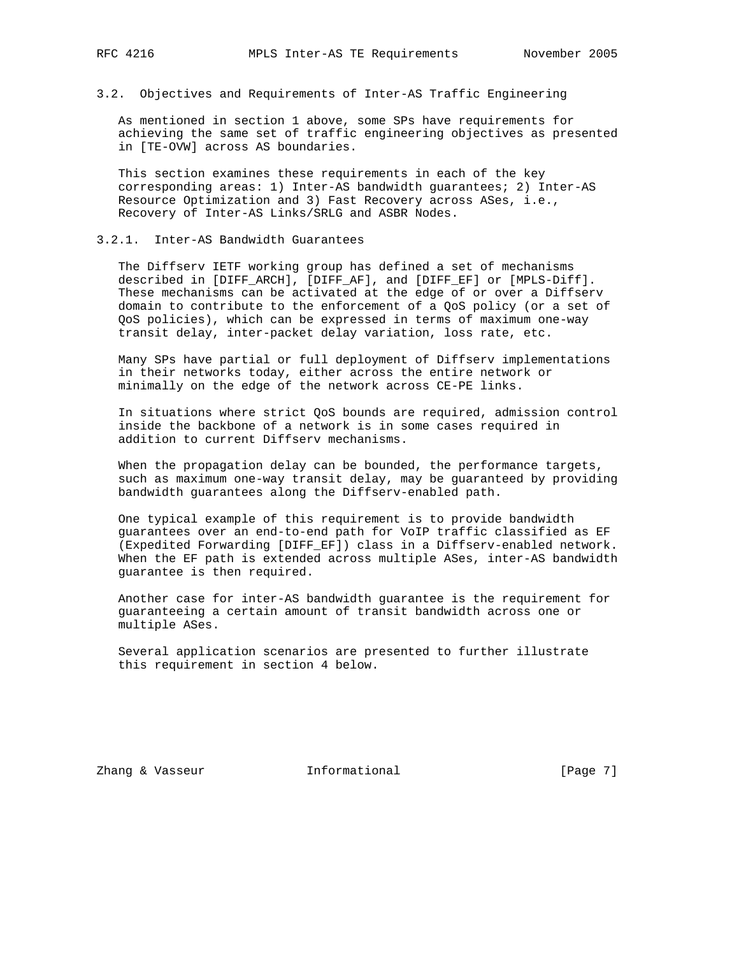### 3.2. Objectives and Requirements of Inter-AS Traffic Engineering

 As mentioned in section 1 above, some SPs have requirements for achieving the same set of traffic engineering objectives as presented in [TE-OVW] across AS boundaries.

 This section examines these requirements in each of the key corresponding areas: 1) Inter-AS bandwidth guarantees; 2) Inter-AS Resource Optimization and 3) Fast Recovery across ASes, i.e., Recovery of Inter-AS Links/SRLG and ASBR Nodes.

### 3.2.1. Inter-AS Bandwidth Guarantees

 The Diffserv IETF working group has defined a set of mechanisms described in [DIFF\_ARCH], [DIFF\_AF], and [DIFF\_EF] or [MPLS-Diff]. These mechanisms can be activated at the edge of or over a Diffserv domain to contribute to the enforcement of a QoS policy (or a set of QoS policies), which can be expressed in terms of maximum one-way transit delay, inter-packet delay variation, loss rate, etc.

 Many SPs have partial or full deployment of Diffserv implementations in their networks today, either across the entire network or minimally on the edge of the network across CE-PE links.

 In situations where strict QoS bounds are required, admission control inside the backbone of a network is in some cases required in addition to current Diffserv mechanisms.

 When the propagation delay can be bounded, the performance targets, such as maximum one-way transit delay, may be guaranteed by providing bandwidth guarantees along the Diffserv-enabled path.

 One typical example of this requirement is to provide bandwidth guarantees over an end-to-end path for VoIP traffic classified as EF (Expedited Forwarding [DIFF\_EF]) class in a Diffserv-enabled network. When the EF path is extended across multiple ASes, inter-AS bandwidth guarantee is then required.

 Another case for inter-AS bandwidth guarantee is the requirement for guaranteeing a certain amount of transit bandwidth across one or multiple ASes.

 Several application scenarios are presented to further illustrate this requirement in section 4 below.

Zhang & Vasseur **Informational** [Page 7]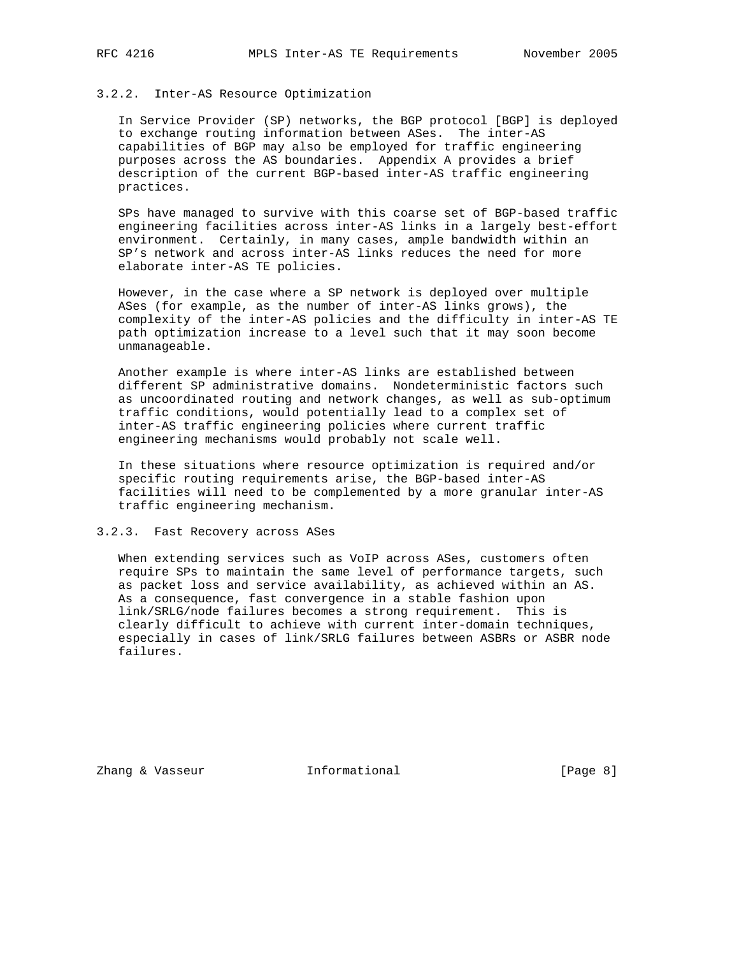# 3.2.2. Inter-AS Resource Optimization

 In Service Provider (SP) networks, the BGP protocol [BGP] is deployed to exchange routing information between ASes. The inter-AS capabilities of BGP may also be employed for traffic engineering purposes across the AS boundaries. Appendix A provides a brief description of the current BGP-based inter-AS traffic engineering practices.

 SPs have managed to survive with this coarse set of BGP-based traffic engineering facilities across inter-AS links in a largely best-effort environment. Certainly, in many cases, ample bandwidth within an SP's network and across inter-AS links reduces the need for more elaborate inter-AS TE policies.

 However, in the case where a SP network is deployed over multiple ASes (for example, as the number of inter-AS links grows), the complexity of the inter-AS policies and the difficulty in inter-AS TE path optimization increase to a level such that it may soon become unmanageable.

 Another example is where inter-AS links are established between different SP administrative domains. Nondeterministic factors such as uncoordinated routing and network changes, as well as sub-optimum traffic conditions, would potentially lead to a complex set of inter-AS traffic engineering policies where current traffic engineering mechanisms would probably not scale well.

 In these situations where resource optimization is required and/or specific routing requirements arise, the BGP-based inter-AS facilities will need to be complemented by a more granular inter-AS traffic engineering mechanism.

# 3.2.3. Fast Recovery across ASes

 When extending services such as VoIP across ASes, customers often require SPs to maintain the same level of performance targets, such as packet loss and service availability, as achieved within an AS. As a consequence, fast convergence in a stable fashion upon link/SRLG/node failures becomes a strong requirement. This is clearly difficult to achieve with current inter-domain techniques, especially in cases of link/SRLG failures between ASBRs or ASBR node failures.

Zhang & Vasseur **Informational** [Page 8]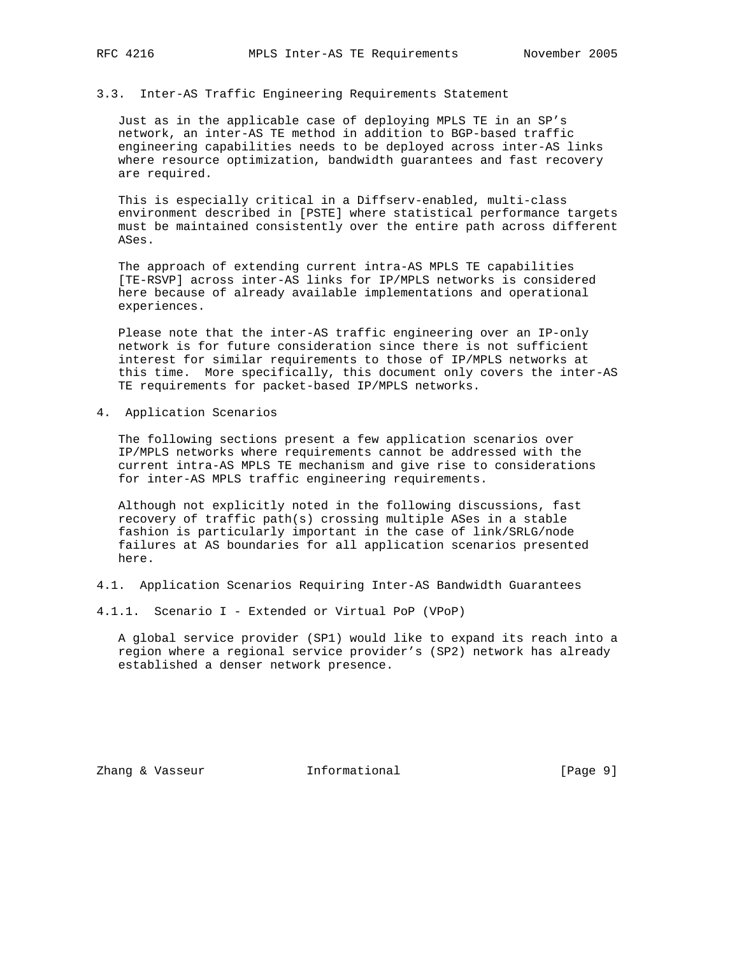### 3.3. Inter-AS Traffic Engineering Requirements Statement

 Just as in the applicable case of deploying MPLS TE in an SP's network, an inter-AS TE method in addition to BGP-based traffic engineering capabilities needs to be deployed across inter-AS links where resource optimization, bandwidth guarantees and fast recovery are required.

 This is especially critical in a Diffserv-enabled, multi-class environment described in [PSTE] where statistical performance targets must be maintained consistently over the entire path across different ASes.

 The approach of extending current intra-AS MPLS TE capabilities [TE-RSVP] across inter-AS links for IP/MPLS networks is considered here because of already available implementations and operational experiences.

 Please note that the inter-AS traffic engineering over an IP-only network is for future consideration since there is not sufficient interest for similar requirements to those of IP/MPLS networks at this time. More specifically, this document only covers the inter-AS TE requirements for packet-based IP/MPLS networks.

4. Application Scenarios

 The following sections present a few application scenarios over IP/MPLS networks where requirements cannot be addressed with the current intra-AS MPLS TE mechanism and give rise to considerations for inter-AS MPLS traffic engineering requirements.

 Although not explicitly noted in the following discussions, fast recovery of traffic path(s) crossing multiple ASes in a stable fashion is particularly important in the case of link/SRLG/node failures at AS boundaries for all application scenarios presented here.

4.1. Application Scenarios Requiring Inter-AS Bandwidth Guarantees

4.1.1. Scenario I - Extended or Virtual PoP (VPoP)

 A global service provider (SP1) would like to expand its reach into a region where a regional service provider's (SP2) network has already established a denser network presence.

Zhang & Vasseur **Informational** [Page 9]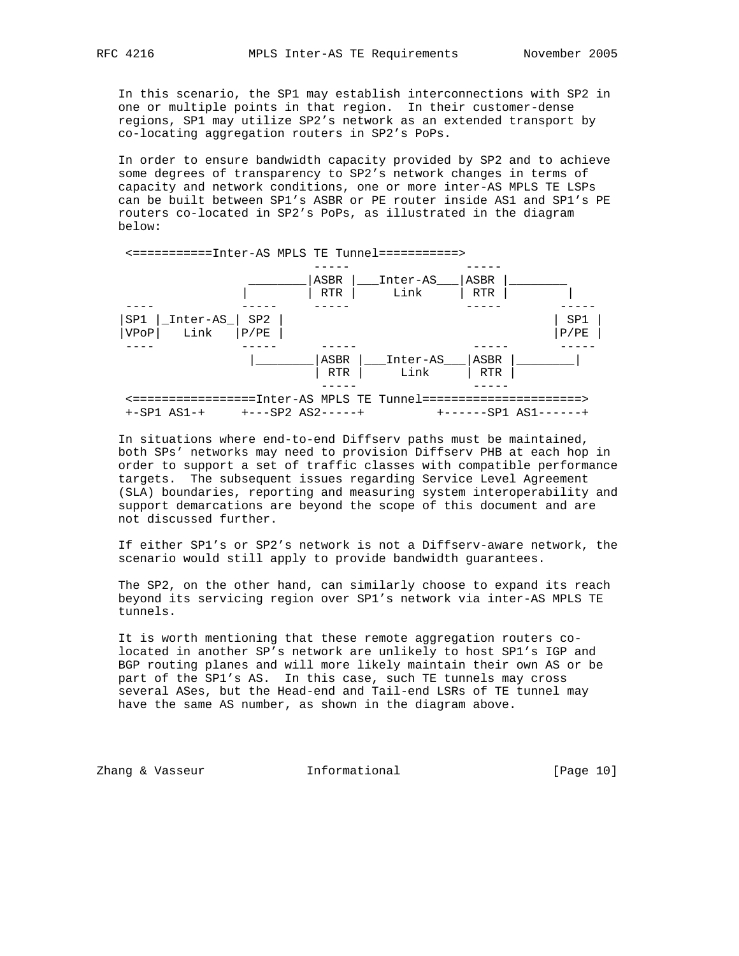In this scenario, the SP1 may establish interconnections with SP2 in one or multiple points in that region. In their customer-dense regions, SP1 may utilize SP2's network as an extended transport by co-locating aggregation routers in SP2's PoPs.

 In order to ensure bandwidth capacity provided by SP2 and to achieve some degrees of transparency to SP2's network changes in terms of capacity and network conditions, one or more inter-AS MPLS TE LSPs can be built between SP1's ASBR or PE router inside AS1 and SP1's PE routers co-located in SP2's PoPs, as illustrated in the diagram below:



 In situations where end-to-end Diffserv paths must be maintained, both SPs' networks may need to provision Diffserv PHB at each hop in order to support a set of traffic classes with compatible performance targets. The subsequent issues regarding Service Level Agreement (SLA) boundaries, reporting and measuring system interoperability and support demarcations are beyond the scope of this document and are not discussed further.

 If either SP1's or SP2's network is not a Diffserv-aware network, the scenario would still apply to provide bandwidth guarantees.

 The SP2, on the other hand, can similarly choose to expand its reach beyond its servicing region over SP1's network via inter-AS MPLS TE tunnels.

 It is worth mentioning that these remote aggregation routers co located in another SP's network are unlikely to host SP1's IGP and BGP routing planes and will more likely maintain their own AS or be part of the SP1's AS. In this case, such TE tunnels may cross several ASes, but the Head-end and Tail-end LSRs of TE tunnel may have the same AS number, as shown in the diagram above.

Zhang & Vasseur **Informational** [Page 10]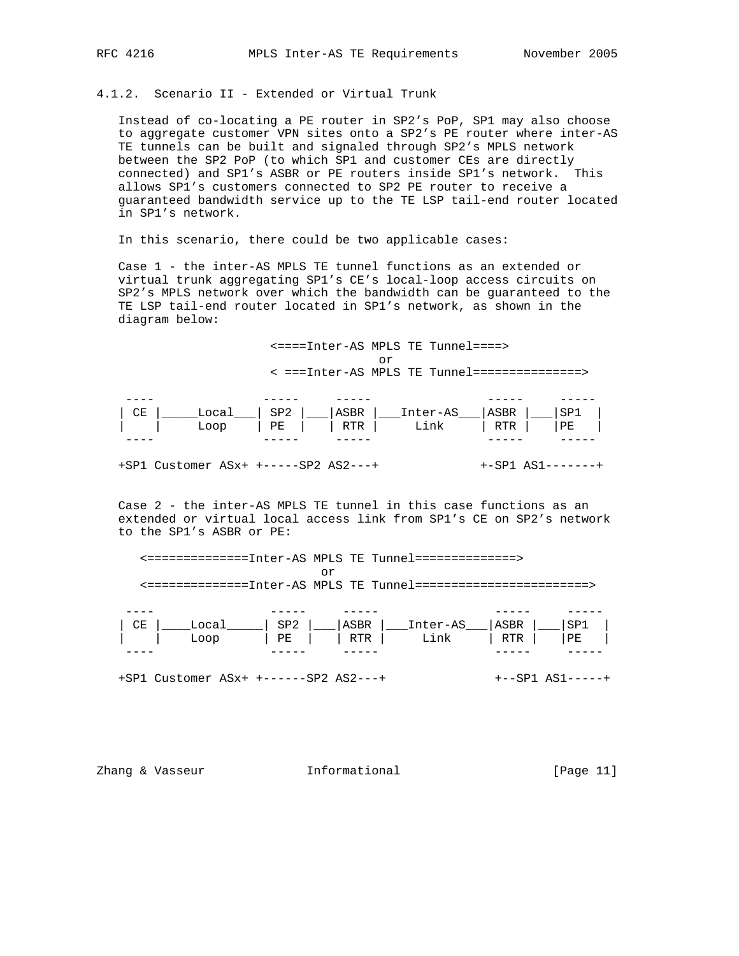# 4.1.2. Scenario II - Extended or Virtual Trunk

 Instead of co-locating a PE router in SP2's PoP, SP1 may also choose to aggregate customer VPN sites onto a SP2's PE router where inter-AS TE tunnels can be built and signaled through SP2's MPLS network between the SP2 PoP (to which SP1 and customer CEs are directly connected) and SP1's ASBR or PE routers inside SP1's network. This allows SP1's customers connected to SP2 PE router to receive a guaranteed bandwidth service up to the TE LSP tail-end router located in SP1's network.

In this scenario, there could be two applicable cases:

 Case 1 - the inter-AS MPLS TE tunnel functions as an extended or virtual trunk aggregating SP1's CE's local-loop access circuits on SP2's MPLS network over which the bandwidth can be guaranteed to the TE LSP tail-end router located in SP1's network, as shown in the diagram below:

 <====Inter-AS MPLS TE Tunnel====> or < ===Inter-AS MPLS TE Tunnel===============>

| СE | Local L | ' SP2 l |       | ASBR   Inter-AS | 'ASBR |    |
|----|---------|---------|-------|-----------------|-------|----|
|    | LOOD    | PE I    | RTR I | Link            | RTR   | PЕ |
|    |         |         |       |                 |       |    |

+SP1 Customer ASx+ +-----SP2 AS2---+ +-SP1 AS1-------+

 Case 2 - the inter-AS MPLS TE tunnel in this case functions as an extended or virtual local access link from SP1's CE on SP2's network to the SP1's ASBR or PE:

 <==============Inter-AS MPLS TE Tunnel==============> or <==============Inter-AS MPLS TE Tunnel========================>

| _ _ _ _ |       |       |     |                 |      |     |
|---------|-------|-------|-----|-----------------|------|-----|
| CE      | Incal | SP2 l |     | ASBR   Inter-AS | ASBR | SP. |
|         | Loop  | $PE$  | RTR | Link            | RTR  | PЕ  |
| ---     |       |       |     |                 |      |     |

+SP1 Customer ASx+ +------SP2 AS2---+ +--SP1 AS1-----+

Zhang & Vasseur **Informational** [Page 11]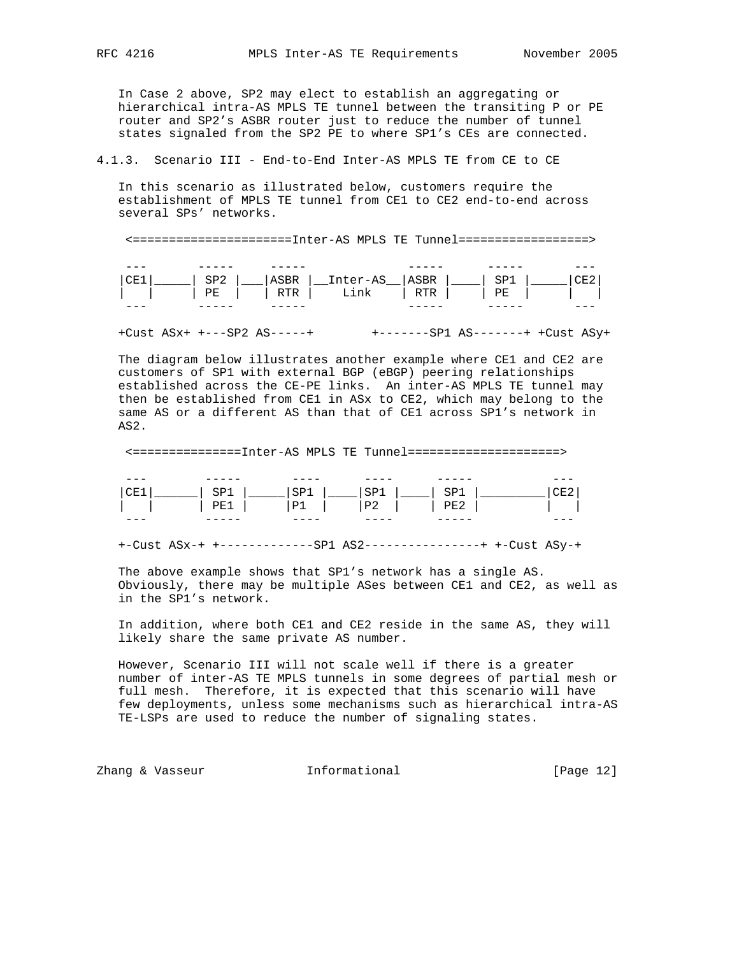In Case 2 above, SP2 may elect to establish an aggregating or hierarchical intra-AS MPLS TE tunnel between the transiting P or PE router and SP2's ASBR router just to reduce the number of tunnel states signaled from the SP2 PE to where SP1's CEs are connected.

4.1.3. Scenario III - End-to-End Inter-AS MPLS TE from CE to CE

 In this scenario as illustrated below, customers require the establishment of MPLS TE tunnel from CE1 to CE2 end-to-end across several SPs' networks.

<======================Inter-AS MPLS TE Tunnel==================>

| --- | _  |                   |    |    |  |
|-----|----|-------------------|----|----|--|
|     |    | ASBR   Inter-AS   | RÞ |    |  |
|     | PE | <b>RTR</b><br>ınk |    | PЕ |  |
| --- |    |                   |    |    |  |

+Cust ASx+ +---SP2 AS-----+ +-------SP1 AS-------+ +Cust ASy+

 The diagram below illustrates another example where CE1 and CE2 are customers of SP1 with external BGP (eBGP) peering relationships established across the CE-PE links. An inter-AS MPLS TE tunnel may then be established from CE1 in ASx to CE2, which may belong to the same AS or a different AS than that of CE1 across SP1's network in AS2.

<===============Inter-AS MPLS TE Tunnel=====================>

| --- | -----     | ---- | ----      | ---<br>-- | --- |
|-----|-----------|------|-----------|-----------|-----|
|     | -         |      | -         |           |     |
|     | ' הדרד    | D    | Dワ<br>∸ ∸ | 'nт       |     |
| --- | --<br>--- | ---- | ----      | ---<br>-- | --- |

+-Cust ASx-+ +-------------SP1 AS2----------------+ +-Cust ASy-+

 The above example shows that SP1's network has a single AS. Obviously, there may be multiple ASes between CE1 and CE2, as well as in the SP1's network.

 In addition, where both CE1 and CE2 reside in the same AS, they will likely share the same private AS number.

 However, Scenario III will not scale well if there is a greater number of inter-AS TE MPLS tunnels in some degrees of partial mesh or full mesh. Therefore, it is expected that this scenario will have few deployments, unless some mechanisms such as hierarchical intra-AS TE-LSPs are used to reduce the number of signaling states.

Zhang & Vasseur **Informational** [Page 12]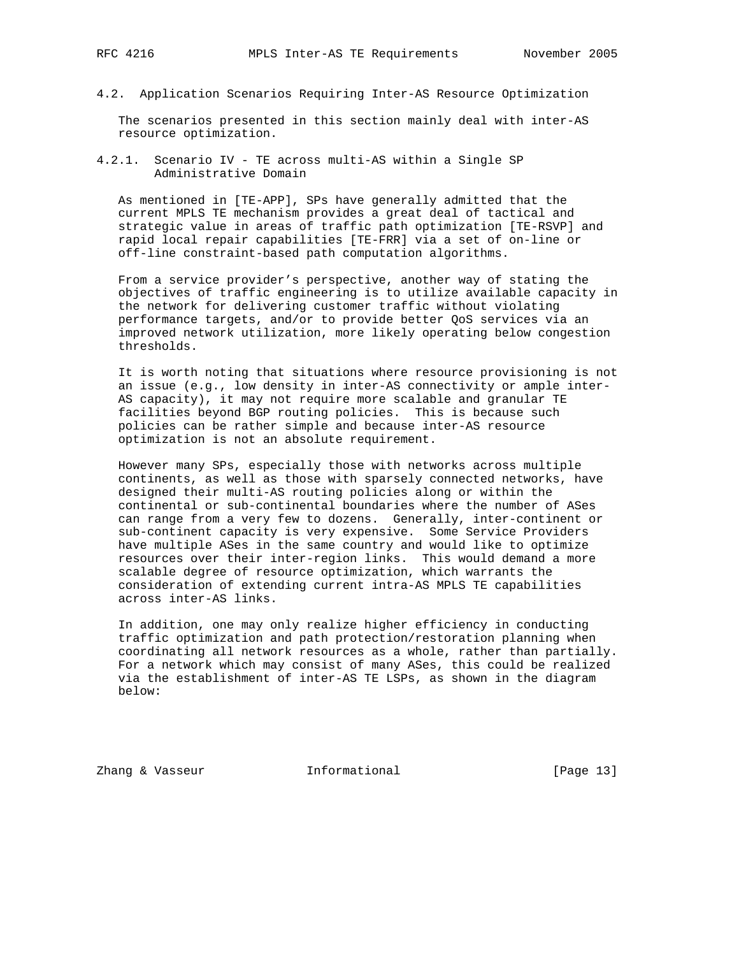- 
- 4.2. Application Scenarios Requiring Inter-AS Resource Optimization

 The scenarios presented in this section mainly deal with inter-AS resource optimization.

4.2.1. Scenario IV - TE across multi-AS within a Single SP Administrative Domain

 As mentioned in [TE-APP], SPs have generally admitted that the current MPLS TE mechanism provides a great deal of tactical and strategic value in areas of traffic path optimization [TE-RSVP] and rapid local repair capabilities [TE-FRR] via a set of on-line or off-line constraint-based path computation algorithms.

 From a service provider's perspective, another way of stating the objectives of traffic engineering is to utilize available capacity in the network for delivering customer traffic without violating performance targets, and/or to provide better QoS services via an improved network utilization, more likely operating below congestion thresholds.

 It is worth noting that situations where resource provisioning is not an issue (e.g., low density in inter-AS connectivity or ample inter- AS capacity), it may not require more scalable and granular TE facilities beyond BGP routing policies. This is because such policies can be rather simple and because inter-AS resource optimization is not an absolute requirement.

 However many SPs, especially those with networks across multiple continents, as well as those with sparsely connected networks, have designed their multi-AS routing policies along or within the continental or sub-continental boundaries where the number of ASes can range from a very few to dozens. Generally, inter-continent or sub-continent capacity is very expensive. Some Service Providers have multiple ASes in the same country and would like to optimize resources over their inter-region links. This would demand a more scalable degree of resource optimization, which warrants the consideration of extending current intra-AS MPLS TE capabilities across inter-AS links.

 In addition, one may only realize higher efficiency in conducting traffic optimization and path protection/restoration planning when coordinating all network resources as a whole, rather than partially. For a network which may consist of many ASes, this could be realized via the establishment of inter-AS TE LSPs, as shown in the diagram below:

Zhang & Vasseur **Informational** [Page 13]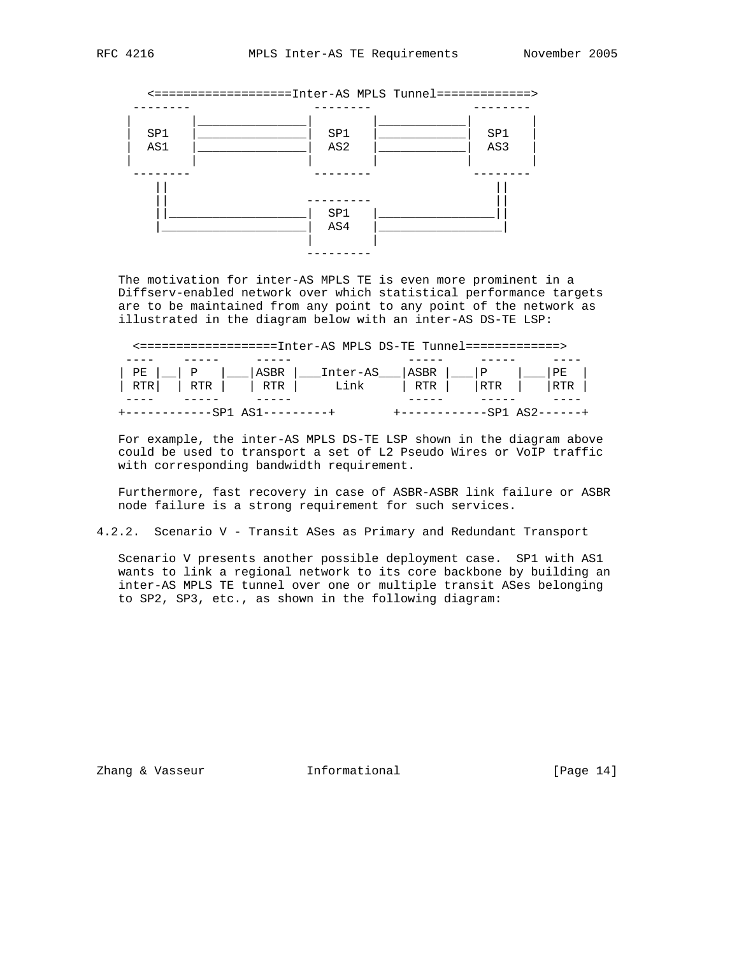

 The motivation for inter-AS MPLS TE is even more prominent in a Diffserv-enabled network over which statistical performance targets are to be maintained from any point to any point of the network as illustrated in the diagram below with an inter-AS DS-TE LSP:

|  |  | <===================Inter-AS MPLS DS-TE Tunnel=============>> |  |  |
|--|--|---------------------------------------------------------------|--|--|
|  |  |                                                               |  |  |
|  |  |                                                               |  |  |
|  |  |                                                               |  |  |
|  |  |                                                               |  |  |

 For example, the inter-AS MPLS DS-TE LSP shown in the diagram above could be used to transport a set of L2 Pseudo Wires or VoIP traffic with corresponding bandwidth requirement.

 Furthermore, fast recovery in case of ASBR-ASBR link failure or ASBR node failure is a strong requirement for such services.

# 4.2.2. Scenario V - Transit ASes as Primary and Redundant Transport

 Scenario V presents another possible deployment case. SP1 with AS1 wants to link a regional network to its core backbone by building an inter-AS MPLS TE tunnel over one or multiple transit ASes belonging to SP2, SP3, etc., as shown in the following diagram:

Zhang & Vasseur **Informational** [Page 14]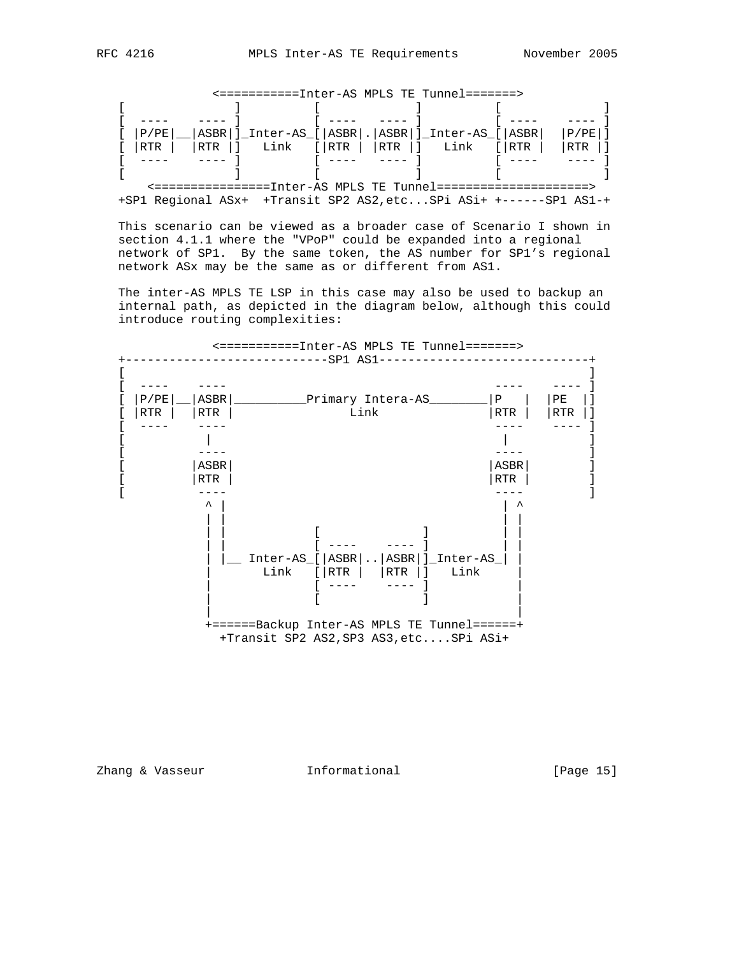|  | $[$ $ P/PE $ $ ABBR $ $]$ $[$ nter-AS <sub><math>[</math></sub> $ ASBR $ $ $ $ ASBR $ $]$ $[$ $I$ nter-AS <sub><math>[</math></sub> $ ASBR $ $ $ $ P/PE $ $]$ |  |  |
|--|---------------------------------------------------------------------------------------------------------------------------------------------------------------|--|--|
|  | $[$ $ RTR  $ $ RTR  $ $ $ $Link$ $[ RTR  $ $]$ $Link$ $[ RTR  $ $ RTR  ]$                                                                                     |  |  |
|  |                                                                                                                                                               |  |  |
|  |                                                                                                                                                               |  |  |
|  | ========Inter-AS MPLS TE Tunnel=========                                                                                                                      |  |  |

<===========Inter-AS MPLS TE Tunnel=======>

 <================Inter-AS MPLS TE Tunnel=====================> +SP1 Regional ASx+ +Transit SP2 AS2,etc...SPi ASi+ +------SP1 AS1-+

 This scenario can be viewed as a broader case of Scenario I shown in section 4.1.1 where the "VPoP" could be expanded into a regional network of SP1. By the same token, the AS number for SP1's regional network ASx may be the same as or different from AS1.

 The inter-AS MPLS TE LSP in this case may also be used to backup an internal path, as depicted in the diagram below, although this could introduce routing complexities:



Zhang & Vasseur **Informational** [Page 15]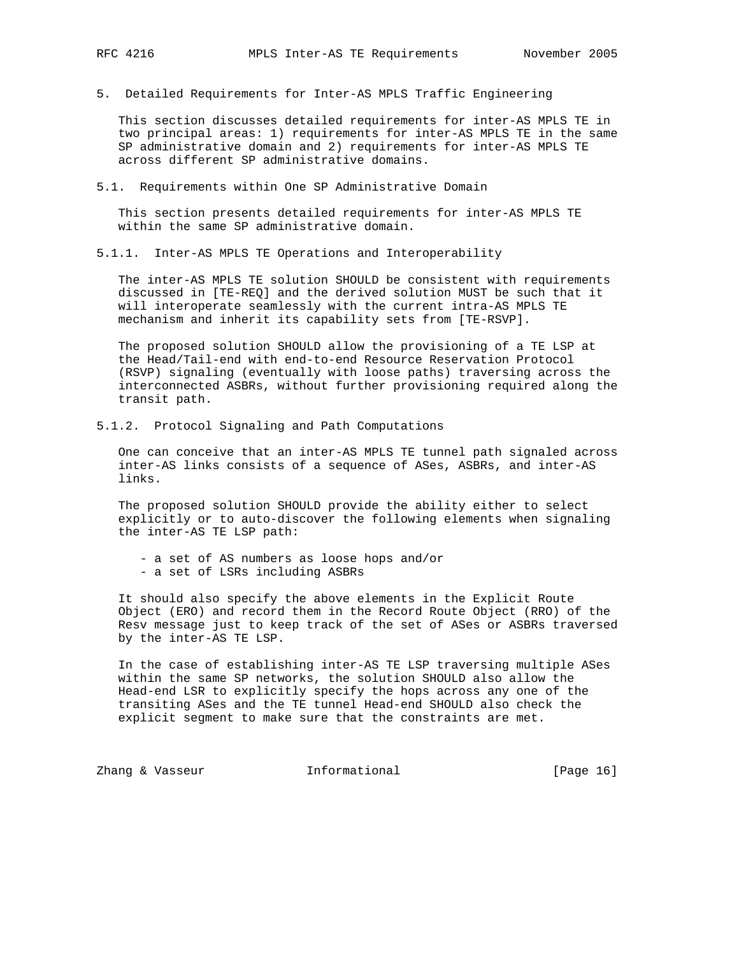5. Detailed Requirements for Inter-AS MPLS Traffic Engineering

 This section discusses detailed requirements for inter-AS MPLS TE in two principal areas: 1) requirements for inter-AS MPLS TE in the same SP administrative domain and 2) requirements for inter-AS MPLS TE across different SP administrative domains.

5.1. Requirements within One SP Administrative Domain

 This section presents detailed requirements for inter-AS MPLS TE within the same SP administrative domain.

5.1.1. Inter-AS MPLS TE Operations and Interoperability

 The inter-AS MPLS TE solution SHOULD be consistent with requirements discussed in [TE-REQ] and the derived solution MUST be such that it will interoperate seamlessly with the current intra-AS MPLS TE mechanism and inherit its capability sets from [TE-RSVP].

 The proposed solution SHOULD allow the provisioning of a TE LSP at the Head/Tail-end with end-to-end Resource Reservation Protocol (RSVP) signaling (eventually with loose paths) traversing across the interconnected ASBRs, without further provisioning required along the transit path.

5.1.2. Protocol Signaling and Path Computations

 One can conceive that an inter-AS MPLS TE tunnel path signaled across inter-AS links consists of a sequence of ASes, ASBRs, and inter-AS links.

 The proposed solution SHOULD provide the ability either to select explicitly or to auto-discover the following elements when signaling the inter-AS TE LSP path:

- a set of AS numbers as loose hops and/or
- a set of LSRs including ASBRs

 It should also specify the above elements in the Explicit Route Object (ERO) and record them in the Record Route Object (RRO) of the Resv message just to keep track of the set of ASes or ASBRs traversed by the inter-AS TE LSP.

 In the case of establishing inter-AS TE LSP traversing multiple ASes within the same SP networks, the solution SHOULD also allow the Head-end LSR to explicitly specify the hops across any one of the transiting ASes and the TE tunnel Head-end SHOULD also check the explicit segment to make sure that the constraints are met.

Zhang & Vasseur **Informational** [Page 16]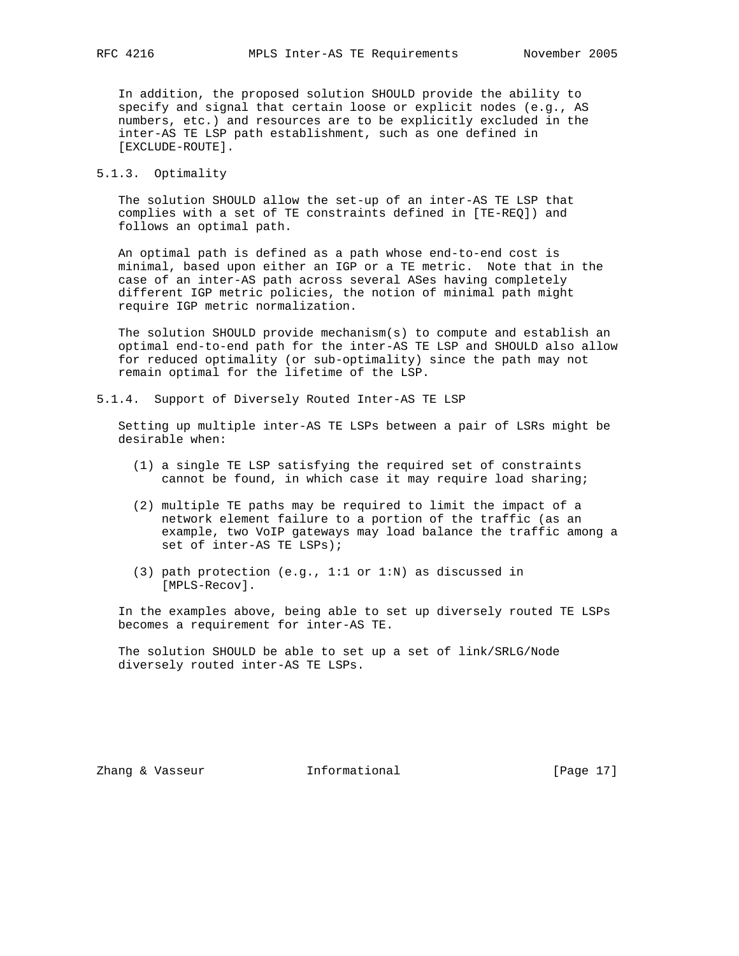In addition, the proposed solution SHOULD provide the ability to specify and signal that certain loose or explicit nodes (e.g., AS numbers, etc.) and resources are to be explicitly excluded in the inter-AS TE LSP path establishment, such as one defined in [EXCLUDE-ROUTE].

5.1.3. Optimality

 The solution SHOULD allow the set-up of an inter-AS TE LSP that complies with a set of TE constraints defined in [TE-REQ]) and follows an optimal path.

 An optimal path is defined as a path whose end-to-end cost is minimal, based upon either an IGP or a TE metric. Note that in the case of an inter-AS path across several ASes having completely different IGP metric policies, the notion of minimal path might require IGP metric normalization.

 The solution SHOULD provide mechanism(s) to compute and establish an optimal end-to-end path for the inter-AS TE LSP and SHOULD also allow for reduced optimality (or sub-optimality) since the path may not remain optimal for the lifetime of the LSP.

5.1.4. Support of Diversely Routed Inter-AS TE LSP

 Setting up multiple inter-AS TE LSPs between a pair of LSRs might be desirable when:

- (1) a single TE LSP satisfying the required set of constraints cannot be found, in which case it may require load sharing;
- (2) multiple TE paths may be required to limit the impact of a network element failure to a portion of the traffic (as an example, two VoIP gateways may load balance the traffic among a set of inter-AS TE LSPs);
- (3) path protection (e.g., 1:1 or 1:N) as discussed in [MPLS-Recov].

 In the examples above, being able to set up diversely routed TE LSPs becomes a requirement for inter-AS TE.

 The solution SHOULD be able to set up a set of link/SRLG/Node diversely routed inter-AS TE LSPs.

Zhang & Vasseur **Informational** [Page 17]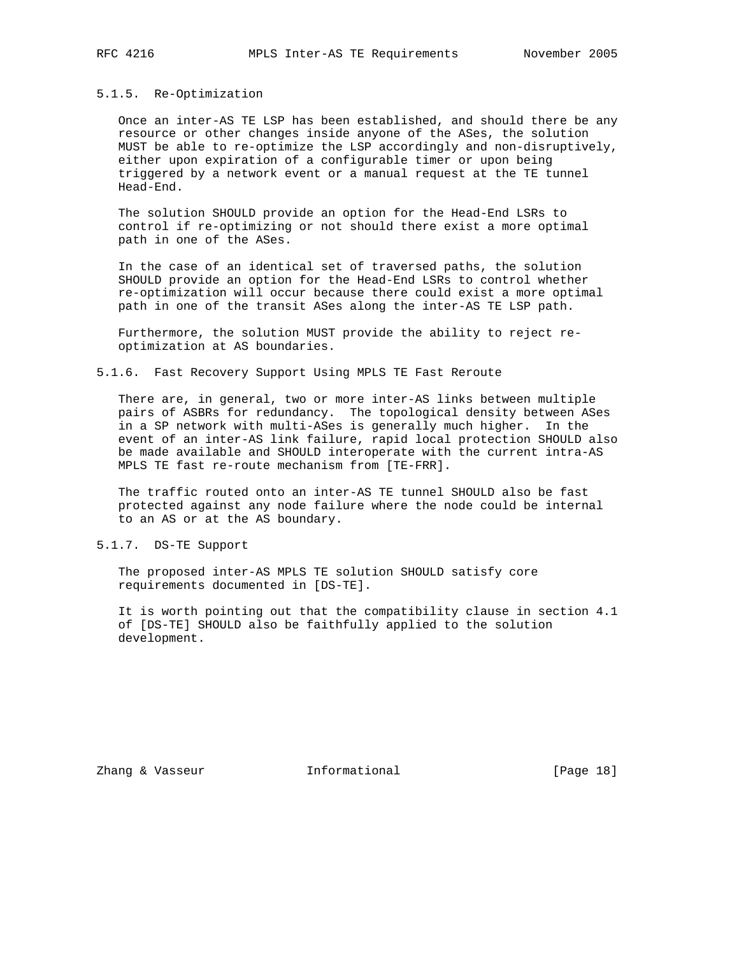#### 5.1.5. Re-Optimization

 Once an inter-AS TE LSP has been established, and should there be any resource or other changes inside anyone of the ASes, the solution MUST be able to re-optimize the LSP accordingly and non-disruptively, either upon expiration of a configurable timer or upon being triggered by a network event or a manual request at the TE tunnel Head-End.

 The solution SHOULD provide an option for the Head-End LSRs to control if re-optimizing or not should there exist a more optimal path in one of the ASes.

 In the case of an identical set of traversed paths, the solution SHOULD provide an option for the Head-End LSRs to control whether re-optimization will occur because there could exist a more optimal path in one of the transit ASes along the inter-AS TE LSP path.

 Furthermore, the solution MUST provide the ability to reject re optimization at AS boundaries.

## 5.1.6. Fast Recovery Support Using MPLS TE Fast Reroute

 There are, in general, two or more inter-AS links between multiple pairs of ASBRs for redundancy. The topological density between ASes in a SP network with multi-ASes is generally much higher. In the event of an inter-AS link failure, rapid local protection SHOULD also be made available and SHOULD interoperate with the current intra-AS MPLS TE fast re-route mechanism from [TE-FRR].

 The traffic routed onto an inter-AS TE tunnel SHOULD also be fast protected against any node failure where the node could be internal to an AS or at the AS boundary.

# 5.1.7. DS-TE Support

 The proposed inter-AS MPLS TE solution SHOULD satisfy core requirements documented in [DS-TE].

 It is worth pointing out that the compatibility clause in section 4.1 of [DS-TE] SHOULD also be faithfully applied to the solution development.

Zhang & Vasseur **Informational** [Page 18]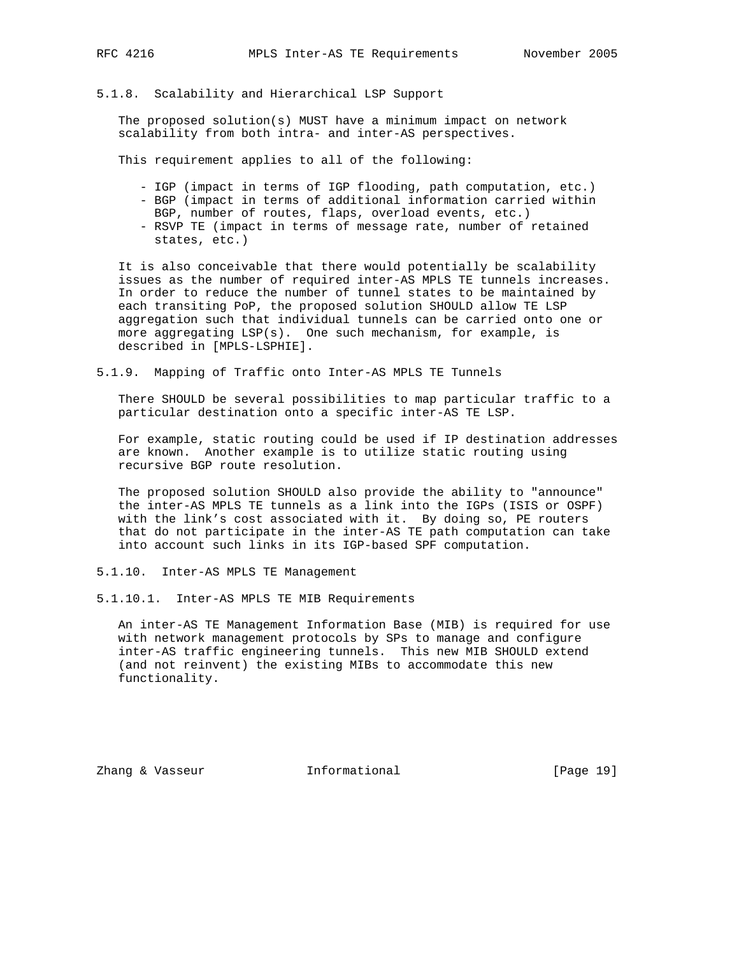### 5.1.8. Scalability and Hierarchical LSP Support

 The proposed solution(s) MUST have a minimum impact on network scalability from both intra- and inter-AS perspectives.

This requirement applies to all of the following:

- IGP (impact in terms of IGP flooding, path computation, etc.)
- BGP (impact in terms of additional information carried within
- BGP, number of routes, flaps, overload events, etc.)
- RSVP TE (impact in terms of message rate, number of retained states, etc.)

 It is also conceivable that there would potentially be scalability issues as the number of required inter-AS MPLS TE tunnels increases. In order to reduce the number of tunnel states to be maintained by each transiting PoP, the proposed solution SHOULD allow TE LSP aggregation such that individual tunnels can be carried onto one or more aggregating LSP(s). One such mechanism, for example, is described in [MPLS-LSPHIE].

5.1.9. Mapping of Traffic onto Inter-AS MPLS TE Tunnels

 There SHOULD be several possibilities to map particular traffic to a particular destination onto a specific inter-AS TE LSP.

 For example, static routing could be used if IP destination addresses are known. Another example is to utilize static routing using recursive BGP route resolution.

 The proposed solution SHOULD also provide the ability to "announce" the inter-AS MPLS TE tunnels as a link into the IGPs (ISIS or OSPF) with the link's cost associated with it. By doing so, PE routers that do not participate in the inter-AS TE path computation can take into account such links in its IGP-based SPF computation.

5.1.10. Inter-AS MPLS TE Management

5.1.10.1. Inter-AS MPLS TE MIB Requirements

 An inter-AS TE Management Information Base (MIB) is required for use with network management protocols by SPs to manage and configure inter-AS traffic engineering tunnels. This new MIB SHOULD extend (and not reinvent) the existing MIBs to accommodate this new functionality.

Zhang & Vasseur **Informational** [Page 19]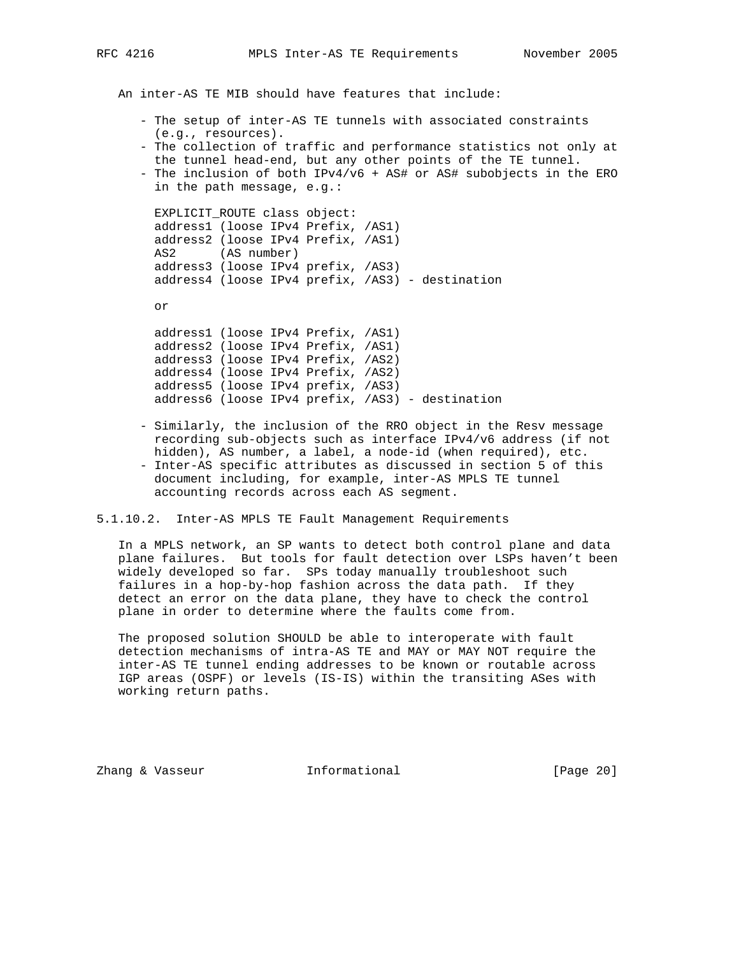An inter-AS TE MIB should have features that include:

- The setup of inter-AS TE tunnels with associated constraints (e.g., resources).
- The collection of traffic and performance statistics not only at the tunnel head-end, but any other points of the TE tunnel.
- The inclusion of both IPv4/v6 + AS# or AS# subobjects in the ERO in the path message, e.g.:

 EXPLICIT\_ROUTE class object: address1 (loose IPv4 Prefix, /AS1) address2 (loose IPv4 Prefix, /AS1) AS2 (AS number) address3 (loose IPv4 prefix, /AS3) address4 (loose IPv4 prefix, /AS3) - destination

or

 address1 (loose IPv4 Prefix, /AS1) address2 (loose IPv4 Prefix, /AS1) address3 (loose IPv4 Prefix, /AS2) address4 (loose IPv4 Prefix, /AS2) address5 (loose IPv4 prefix, /AS3) address6 (loose IPv4 prefix, /AS3) - destination

- Similarly, the inclusion of the RRO object in the Resv message recording sub-objects such as interface IPv4/v6 address (if not hidden), AS number, a label, a node-id (when required), etc.
- Inter-AS specific attributes as discussed in section 5 of this document including, for example, inter-AS MPLS TE tunnel accounting records across each AS segment.

5.1.10.2. Inter-AS MPLS TE Fault Management Requirements

 In a MPLS network, an SP wants to detect both control plane and data plane failures. But tools for fault detection over LSPs haven't been widely developed so far. SPs today manually troubleshoot such failures in a hop-by-hop fashion across the data path. If they detect an error on the data plane, they have to check the control plane in order to determine where the faults come from.

 The proposed solution SHOULD be able to interoperate with fault detection mechanisms of intra-AS TE and MAY or MAY NOT require the inter-AS TE tunnel ending addresses to be known or routable across IGP areas (OSPF) or levels (IS-IS) within the transiting ASes with working return paths.

Zhang & Vasseur **Informational** [Page 20]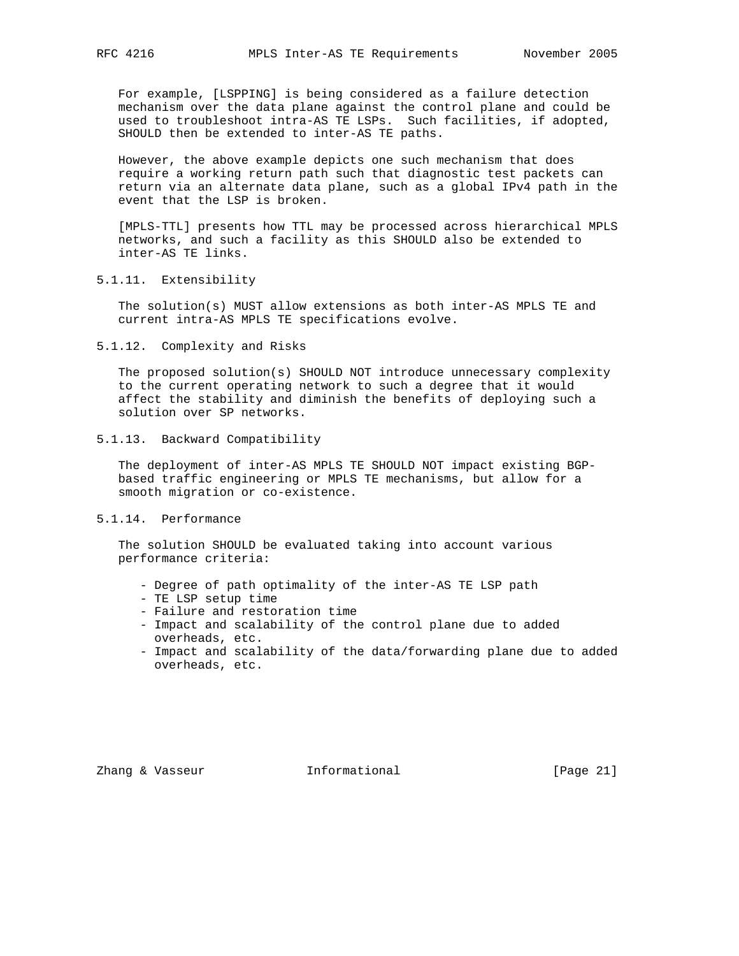For example, [LSPPING] is being considered as a failure detection mechanism over the data plane against the control plane and could be used to troubleshoot intra-AS TE LSPs. Such facilities, if adopted, SHOULD then be extended to inter-AS TE paths.

 However, the above example depicts one such mechanism that does require a working return path such that diagnostic test packets can return via an alternate data plane, such as a global IPv4 path in the event that the LSP is broken.

 [MPLS-TTL] presents how TTL may be processed across hierarchical MPLS networks, and such a facility as this SHOULD also be extended to inter-AS TE links.

# 5.1.11. Extensibility

 The solution(s) MUST allow extensions as both inter-AS MPLS TE and current intra-AS MPLS TE specifications evolve.

#### 5.1.12. Complexity and Risks

 The proposed solution(s) SHOULD NOT introduce unnecessary complexity to the current operating network to such a degree that it would affect the stability and diminish the benefits of deploying such a solution over SP networks.

# 5.1.13. Backward Compatibility

 The deployment of inter-AS MPLS TE SHOULD NOT impact existing BGP based traffic engineering or MPLS TE mechanisms, but allow for a smooth migration or co-existence.

# 5.1.14. Performance

 The solution SHOULD be evaluated taking into account various performance criteria:

- Degree of path optimality of the inter-AS TE LSP path
- TE LSP setup time
- Failure and restoration time
- Impact and scalability of the control plane due to added overheads, etc.
- Impact and scalability of the data/forwarding plane due to added overheads, etc.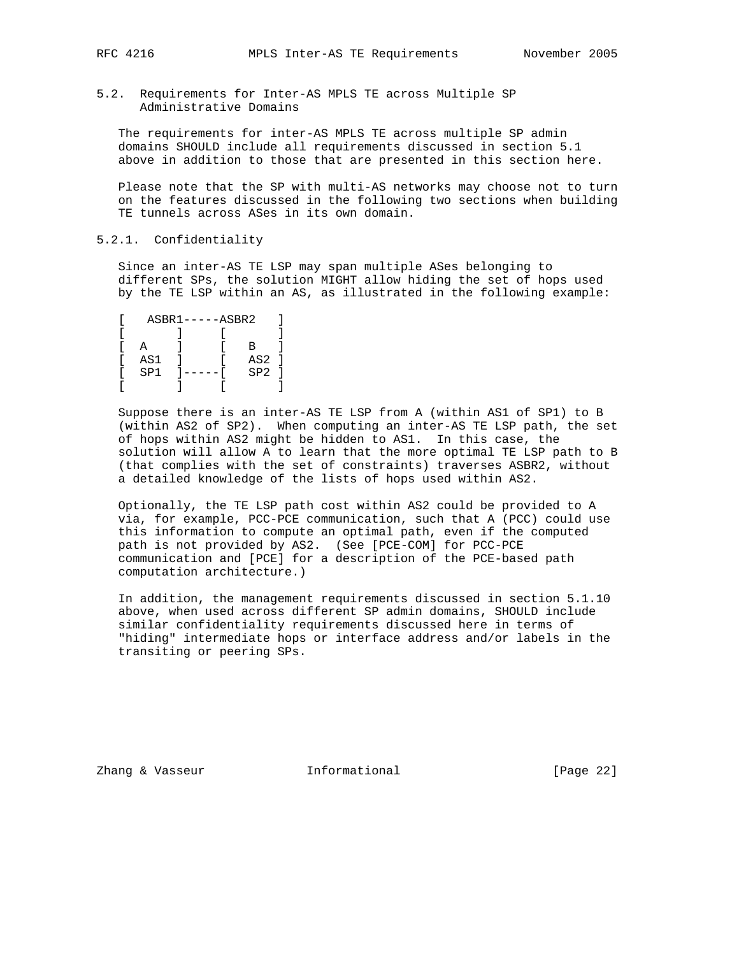5.2. Requirements for Inter-AS MPLS TE across Multiple SP Administrative Domains

 The requirements for inter-AS MPLS TE across multiple SP admin domains SHOULD include all requirements discussed in section 5.1 above in addition to those that are presented in this section here.

 Please note that the SP with multi-AS networks may choose not to turn on the features discussed in the following two sections when building TE tunnels across ASes in its own domain.

## 5.2.1. Confidentiality

 Since an inter-AS TE LSP may span multiple ASes belonging to different SPs, the solution MIGHT allow hiding the set of hops used by the TE LSP within an AS, as illustrated in the following example:

|     | $ASBR1---ASBR2$ |     |  |
|-----|-----------------|-----|--|
|     |                 |     |  |
|     |                 | в   |  |
| AS1 |                 | AS2 |  |
| SP1 | ----            | SP2 |  |
|     |                 |     |  |

 Suppose there is an inter-AS TE LSP from A (within AS1 of SP1) to B (within AS2 of SP2). When computing an inter-AS TE LSP path, the set of hops within AS2 might be hidden to AS1. In this case, the solution will allow A to learn that the more optimal TE LSP path to B (that complies with the set of constraints) traverses ASBR2, without a detailed knowledge of the lists of hops used within AS2.

 Optionally, the TE LSP path cost within AS2 could be provided to A via, for example, PCC-PCE communication, such that A (PCC) could use this information to compute an optimal path, even if the computed path is not provided by AS2. (See [PCE-COM] for PCC-PCE communication and [PCE] for a description of the PCE-based path computation architecture.)

 In addition, the management requirements discussed in section 5.1.10 above, when used across different SP admin domains, SHOULD include similar confidentiality requirements discussed here in terms of "hiding" intermediate hops or interface address and/or labels in the transiting or peering SPs.

Zhang & Vasseur **Informational** [Page 22]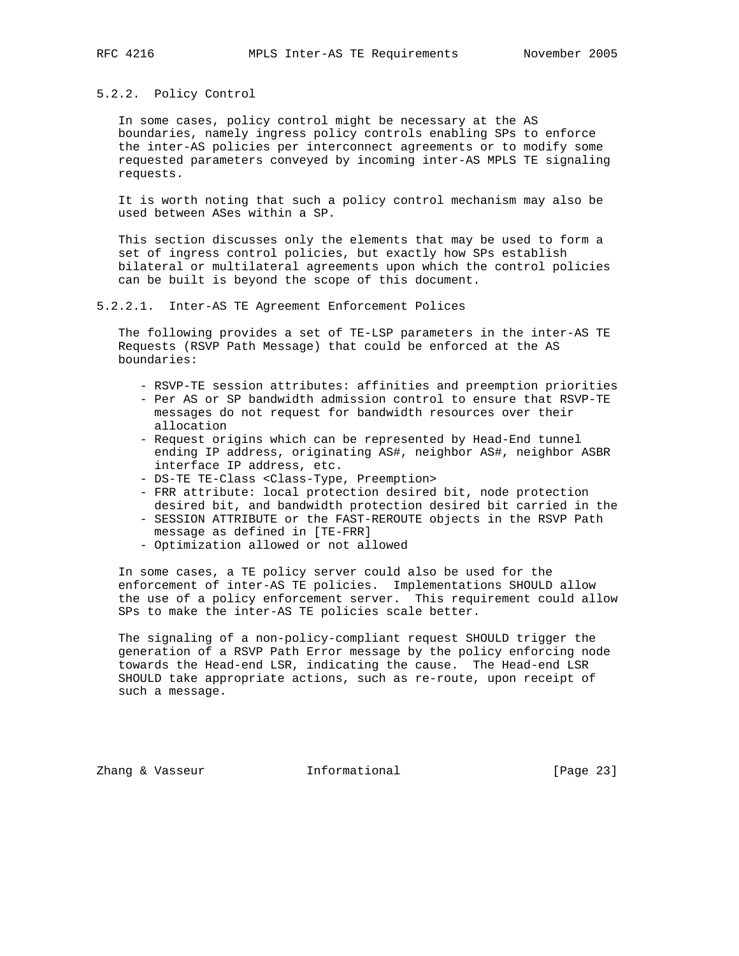# 5.2.2. Policy Control

 In some cases, policy control might be necessary at the AS boundaries, namely ingress policy controls enabling SPs to enforce the inter-AS policies per interconnect agreements or to modify some requested parameters conveyed by incoming inter-AS MPLS TE signaling requests.

 It is worth noting that such a policy control mechanism may also be used between ASes within a SP.

 This section discusses only the elements that may be used to form a set of ingress control policies, but exactly how SPs establish bilateral or multilateral agreements upon which the control policies can be built is beyond the scope of this document.

### 5.2.2.1. Inter-AS TE Agreement Enforcement Polices

 The following provides a set of TE-LSP parameters in the inter-AS TE Requests (RSVP Path Message) that could be enforced at the AS boundaries:

- RSVP-TE session attributes: affinities and preemption priorities
- Per AS or SP bandwidth admission control to ensure that RSVP-TE messages do not request for bandwidth resources over their allocation
- Request origins which can be represented by Head-End tunnel ending IP address, originating AS#, neighbor AS#, neighbor ASBR interface IP address, etc.
- DS-TE TE-Class <Class-Type, Preemption>
- FRR attribute: local protection desired bit, node protection desired bit, and bandwidth protection desired bit carried in the
- SESSION ATTRIBUTE or the FAST-REROUTE objects in the RSVP Path message as defined in [TE-FRR]
- Optimization allowed or not allowed

 In some cases, a TE policy server could also be used for the enforcement of inter-AS TE policies. Implementations SHOULD allow the use of a policy enforcement server. This requirement could allow SPs to make the inter-AS TE policies scale better.

 The signaling of a non-policy-compliant request SHOULD trigger the generation of a RSVP Path Error message by the policy enforcing node towards the Head-end LSR, indicating the cause. The Head-end LSR SHOULD take appropriate actions, such as re-route, upon receipt of such a message.

Zhang & Vasseur **Informational** [Page 23]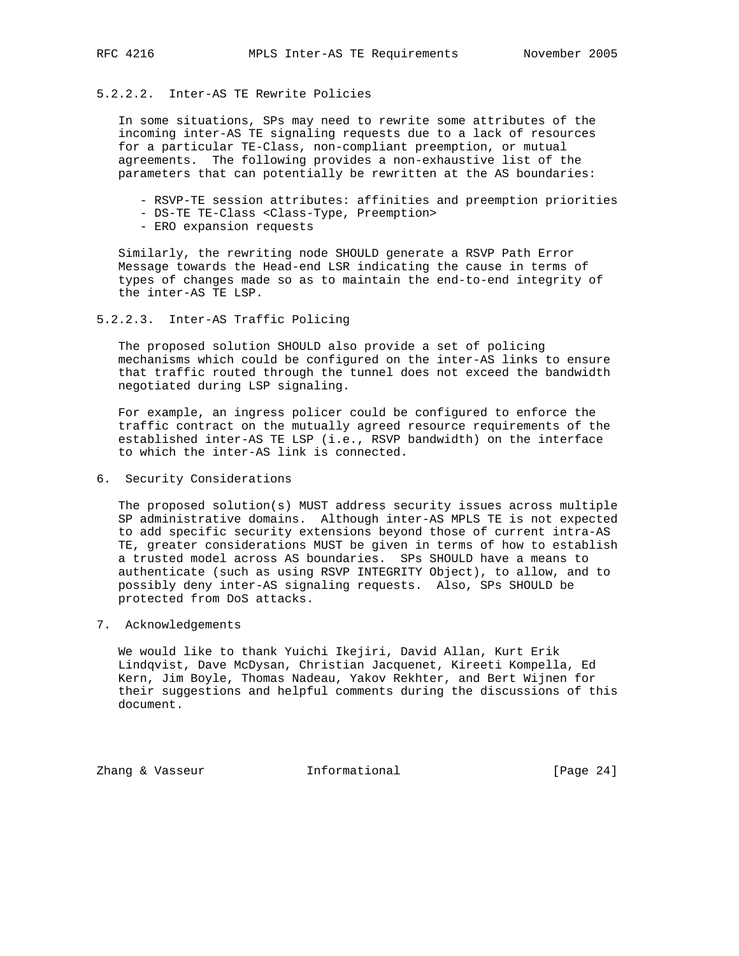# 5.2.2.2. Inter-AS TE Rewrite Policies

 In some situations, SPs may need to rewrite some attributes of the incoming inter-AS TE signaling requests due to a lack of resources for a particular TE-Class, non-compliant preemption, or mutual agreements. The following provides a non-exhaustive list of the parameters that can potentially be rewritten at the AS boundaries:

- RSVP-TE session attributes: affinities and preemption priorities
- DS-TE TE-Class <Class-Type, Preemption>
- ERO expansion requests

 Similarly, the rewriting node SHOULD generate a RSVP Path Error Message towards the Head-end LSR indicating the cause in terms of types of changes made so as to maintain the end-to-end integrity of the inter-AS TE LSP.

5.2.2.3. Inter-AS Traffic Policing

 The proposed solution SHOULD also provide a set of policing mechanisms which could be configured on the inter-AS links to ensure that traffic routed through the tunnel does not exceed the bandwidth negotiated during LSP signaling.

 For example, an ingress policer could be configured to enforce the traffic contract on the mutually agreed resource requirements of the established inter-AS TE LSP (i.e., RSVP bandwidth) on the interface to which the inter-AS link is connected.

6. Security Considerations

 The proposed solution(s) MUST address security issues across multiple SP administrative domains. Although inter-AS MPLS TE is not expected to add specific security extensions beyond those of current intra-AS TE, greater considerations MUST be given in terms of how to establish a trusted model across AS boundaries. SPs SHOULD have a means to authenticate (such as using RSVP INTEGRITY Object), to allow, and to possibly deny inter-AS signaling requests. Also, SPs SHOULD be protected from DoS attacks.

7. Acknowledgements

 We would like to thank Yuichi Ikejiri, David Allan, Kurt Erik Lindqvist, Dave McDysan, Christian Jacquenet, Kireeti Kompella, Ed Kern, Jim Boyle, Thomas Nadeau, Yakov Rekhter, and Bert Wijnen for their suggestions and helpful comments during the discussions of this document.

Zhang & Vasseur **Informational** [Page 24]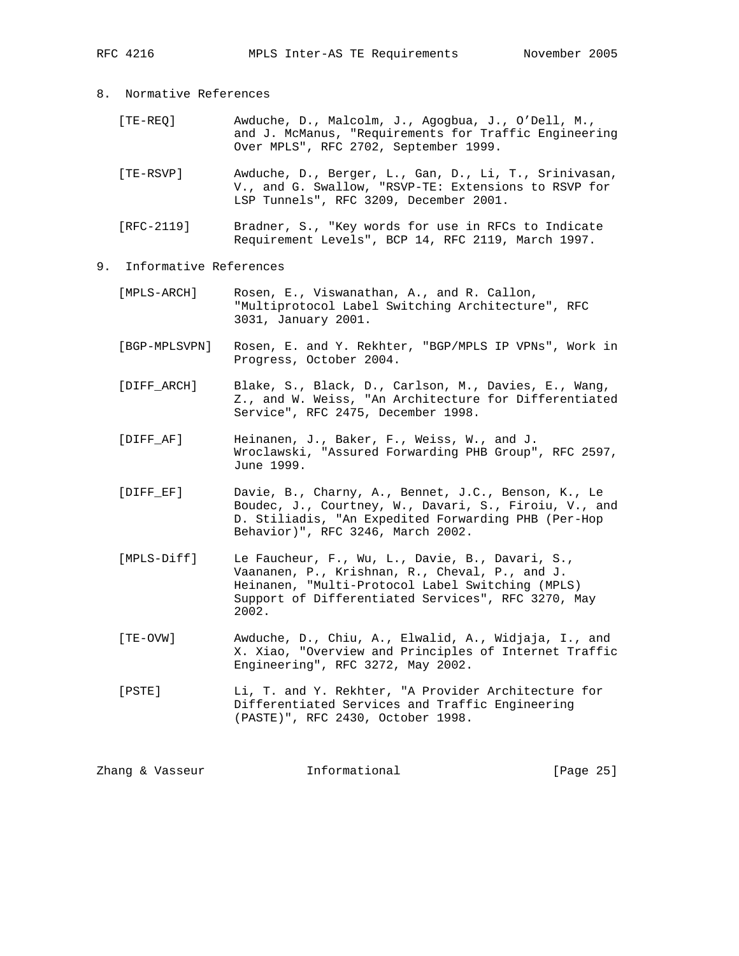- 8. Normative References
	- [TE-REQ] Awduche, D., Malcolm, J., Agogbua, J., O'Dell, M., and J. McManus, "Requirements for Traffic Engineering Over MPLS", RFC 2702, September 1999.
	- [TE-RSVP] Awduche, D., Berger, L., Gan, D., Li, T., Srinivasan, V., and G. Swallow, "RSVP-TE: Extensions to RSVP for LSP Tunnels", RFC 3209, December 2001.
	- [RFC-2119] Bradner, S., "Key words for use in RFCs to Indicate Requirement Levels", BCP 14, RFC 2119, March 1997.
- 9. Informative References
	- [MPLS-ARCH] Rosen, E., Viswanathan, A., and R. Callon, "Multiprotocol Label Switching Architecture", RFC 3031, January 2001.
	- [BGP-MPLSVPN] Rosen, E. and Y. Rekhter, "BGP/MPLS IP VPNs", Work in Progress, October 2004.
	- [DIFF\_ARCH] Blake, S., Black, D., Carlson, M., Davies, E., Wang, Z., and W. Weiss, "An Architecture for Differentiated Service", RFC 2475, December 1998.
	- [DIFF\_AF] Heinanen, J., Baker, F., Weiss, W., and J. Wroclawski, "Assured Forwarding PHB Group", RFC 2597, June 1999.
	- [DIFF\_EF] Davie, B., Charny, A., Bennet, J.C., Benson, K., Le Boudec, J., Courtney, W., Davari, S., Firoiu, V., and D. Stiliadis, "An Expedited Forwarding PHB (Per-Hop Behavior)", RFC 3246, March 2002.
	- [MPLS-Diff] Le Faucheur, F., Wu, L., Davie, B., Davari, S., Vaananen, P., Krishnan, R., Cheval, P., and J. Heinanen, "Multi-Protocol Label Switching (MPLS) Support of Differentiated Services", RFC 3270, May 2002.
	- [TE-OVW] Awduche, D., Chiu, A., Elwalid, A., Widjaja, I., and X. Xiao, "Overview and Principles of Internet Traffic Engineering", RFC 3272, May 2002.
	- [PSTE] Li, T. and Y. Rekhter, "A Provider Architecture for Differentiated Services and Traffic Engineering (PASTE)", RFC 2430, October 1998.

| Informational<br>Zhang & Vasseur | [Page 25] |  |  |
|----------------------------------|-----------|--|--|
|----------------------------------|-----------|--|--|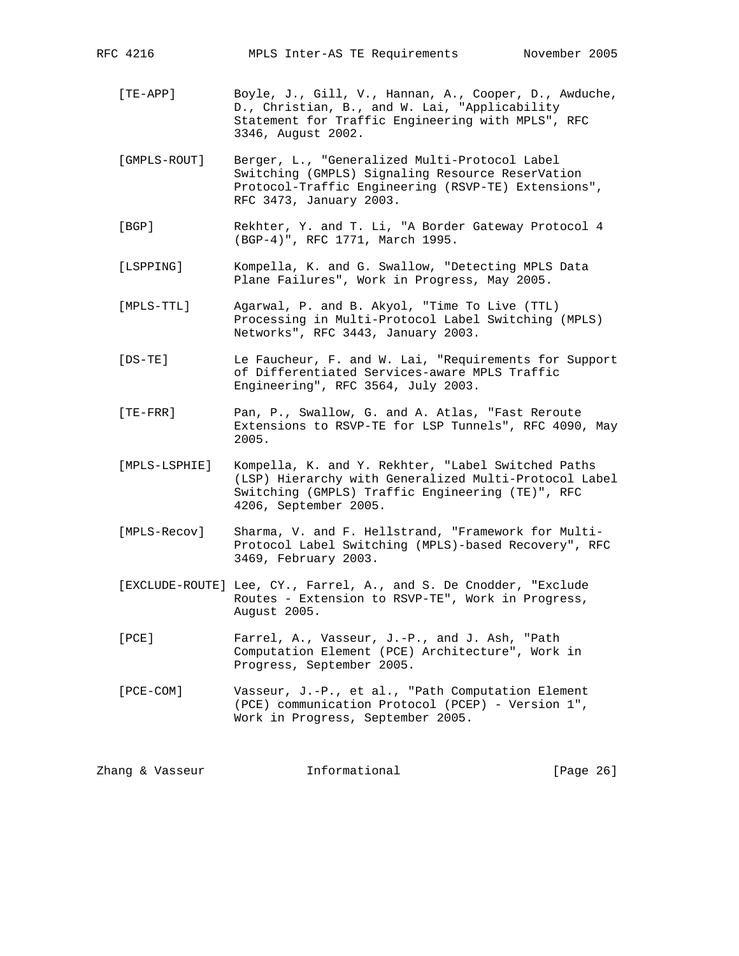| [TE-APP]     | Boyle, J., Gill, V., Hannan, A., Cooper, D., Awduche,<br>D., Christian, B., and W. Lai, "Applicability                                                                              |
|--------------|-------------------------------------------------------------------------------------------------------------------------------------------------------------------------------------|
|              | Statement for Traffic Engineering with MPLS", RFC<br>3346, August 2002.                                                                                                             |
| [GMPLS-ROUT] | Berger, L., "Generalized Multi-Protocol Label<br>Switching (GMPLS) Signaling Resource ReserVation<br>Protocol-Traffic Engineering (RSVP-TE) Extensions",<br>RFC 3473, January 2003. |

RFC 4216 MPLS Inter-AS TE Requirements November 2005

- [BGP] Rekhter, Y. and T. Li, "A Border Gateway Protocol 4 (BGP-4)", RFC 1771, March 1995.
- [LSPPING] Kompella, K. and G. Swallow, "Detecting MPLS Data Plane Failures", Work in Progress, May 2005.
- [MPLS-TTL] Agarwal, P. and B. Akyol, "Time To Live (TTL) Processing in Multi-Protocol Label Switching (MPLS) Networks", RFC 3443, January 2003.
- [DS-TE] Le Faucheur, F. and W. Lai, "Requirements for Support of Differentiated Services-aware MPLS Traffic Engineering", RFC 3564, July 2003.
- [TE-FRR] Pan, P., Swallow, G. and A. Atlas, "Fast Reroute Extensions to RSVP-TE for LSP Tunnels", RFC 4090, May 2005.
- [MPLS-LSPHIE] Kompella, K. and Y. Rekhter, "Label Switched Paths (LSP) Hierarchy with Generalized Multi-Protocol Label Switching (GMPLS) Traffic Engineering (TE)", RFC 4206, September 2005.
- [MPLS-Recov] Sharma, V. and F. Hellstrand, "Framework for Multi- Protocol Label Switching (MPLS)-based Recovery", RFC 3469, February 2003.
- [EXCLUDE-ROUTE] Lee, CY., Farrel, A., and S. De Cnodder, "Exclude Routes - Extension to RSVP-TE", Work in Progress, August 2005.
- [PCE] Farrel, A., Vasseur, J.-P., and J. Ash, "Path Computation Element (PCE) Architecture", Work in Progress, September 2005.
- [PCE-COM] Vasseur, J.-P., et al., "Path Computation Element (PCE) communication Protocol (PCEP) - Version 1", Work in Progress, September 2005.

|  | Zhang & Vasseur | Informational | [Page 26] |  |
|--|-----------------|---------------|-----------|--|
|--|-----------------|---------------|-----------|--|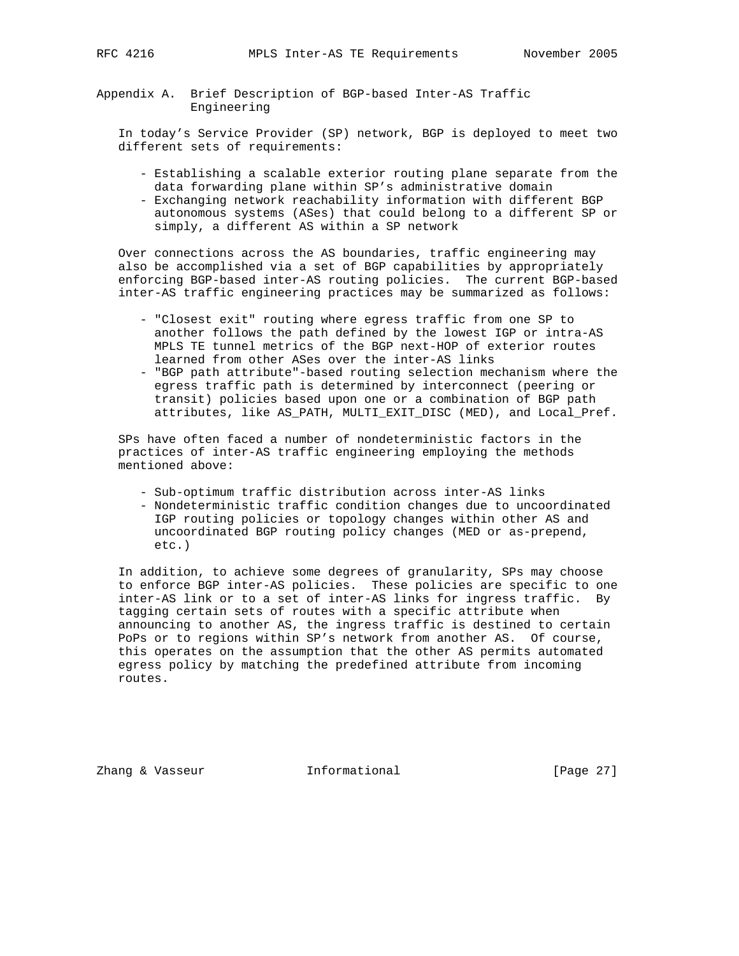Appendix A. Brief Description of BGP-based Inter-AS Traffic Engineering

 In today's Service Provider (SP) network, BGP is deployed to meet two different sets of requirements:

- Establishing a scalable exterior routing plane separate from the data forwarding plane within SP's administrative domain
- Exchanging network reachability information with different BGP autonomous systems (ASes) that could belong to a different SP or simply, a different AS within a SP network

 Over connections across the AS boundaries, traffic engineering may also be accomplished via a set of BGP capabilities by appropriately enforcing BGP-based inter-AS routing policies. The current BGP-based inter-AS traffic engineering practices may be summarized as follows:

- "Closest exit" routing where egress traffic from one SP to another follows the path defined by the lowest IGP or intra-AS MPLS TE tunnel metrics of the BGP next-HOP of exterior routes learned from other ASes over the inter-AS links
- "BGP path attribute"-based routing selection mechanism where the egress traffic path is determined by interconnect (peering or transit) policies based upon one or a combination of BGP path attributes, like AS\_PATH, MULTI\_EXIT\_DISC (MED), and Local\_Pref.

 SPs have often faced a number of nondeterministic factors in the practices of inter-AS traffic engineering employing the methods mentioned above:

- Sub-optimum traffic distribution across inter-AS links
- Nondeterministic traffic condition changes due to uncoordinated IGP routing policies or topology changes within other AS and uncoordinated BGP routing policy changes (MED or as-prepend, etc.)

 In addition, to achieve some degrees of granularity, SPs may choose to enforce BGP inter-AS policies. These policies are specific to one inter-AS link or to a set of inter-AS links for ingress traffic. By tagging certain sets of routes with a specific attribute when announcing to another AS, the ingress traffic is destined to certain PoPs or to regions within SP's network from another AS. Of course, this operates on the assumption that the other AS permits automated egress policy by matching the predefined attribute from incoming routes.

Zhang & Vasseur **Informational** [Page 27]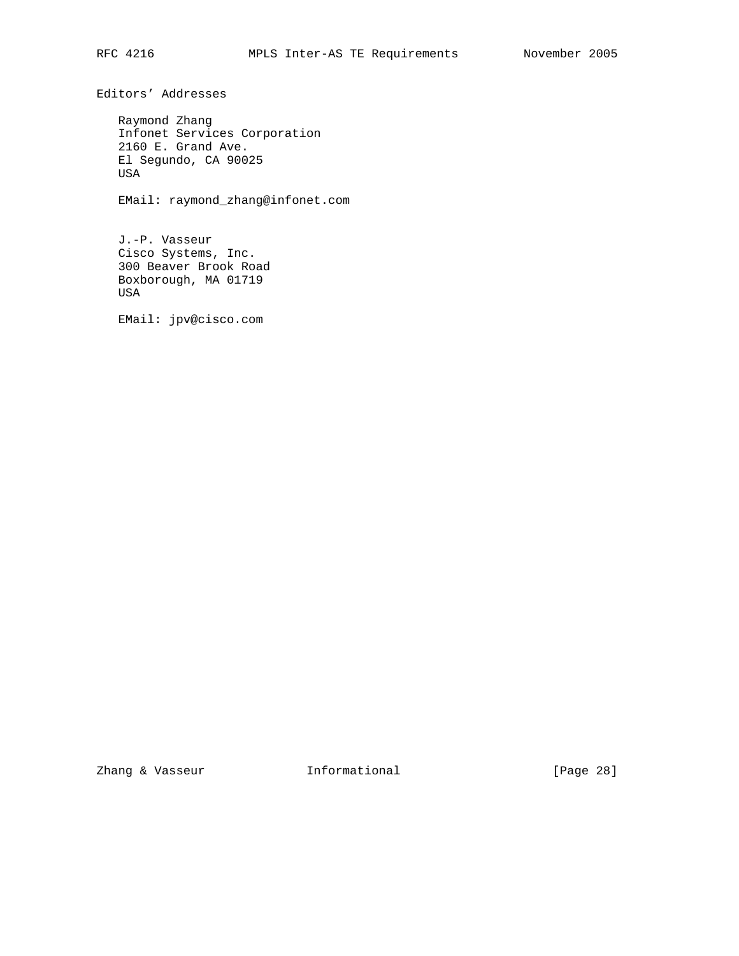Editors' Addresses

 Raymond Zhang Infonet Services Corporation 2160 E. Grand Ave. El Segundo, CA 90025 USA

EMail: raymond\_zhang@infonet.com

 J.-P. Vasseur Cisco Systems, Inc. 300 Beaver Brook Road Boxborough, MA 01719 USA

EMail: jpv@cisco.com